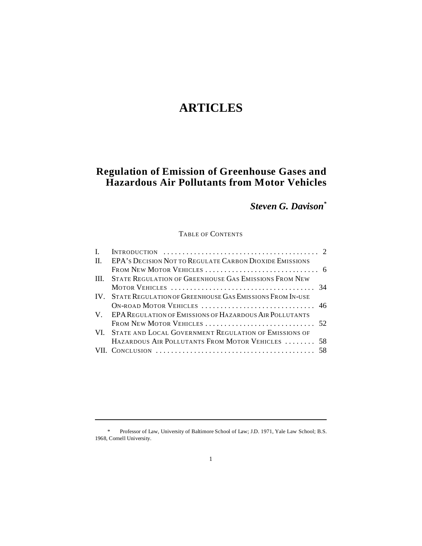# **ARTICLES**

## **Regulation of Emission of Greenhouse Gases and Hazardous Air Pollutants from Motor Vehicles**

## *Steven G. Davison\**

TABLE OF CONTENTS

| $\Pi$ | EPA'S DECISION NOT TO REGULATE CARBON DIOXIDE EMISSIONS      |  |
|-------|--------------------------------------------------------------|--|
|       |                                                              |  |
| III — | STATE REGULATION OF GREENHOUSE GAS EMISSIONS FROM NEW        |  |
|       |                                                              |  |
|       | IV. STATE REGULATION OF GREENHOUSE GAS EMISSIONS FROM IN-USE |  |
|       |                                                              |  |
|       | V. EPA REGULATION OF EMISSIONS OF HAZARDOUS AIR POLLUTANTS   |  |
|       |                                                              |  |
| VI —  | STATE AND LOCAL GOVERNMENT REGULATION OF EMISSIONS OF        |  |
|       | HAZARDOUS AIR POLLUTANTS FROM MOTOR VEHICLES  58             |  |
|       |                                                              |  |

<sup>\*</sup> Professor of Law, University of Baltimore School of Law; J.D. 1971, Yale Law School; B.S. 1968, Cornell University.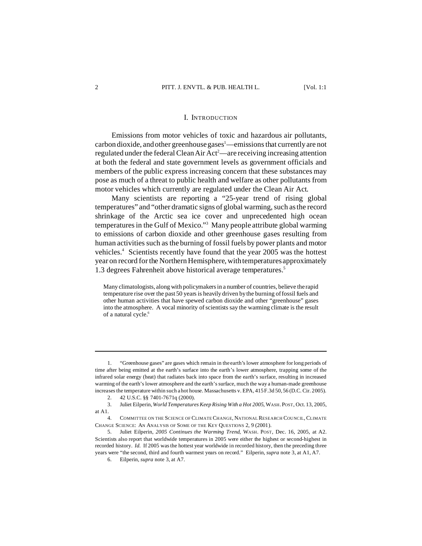#### I. INTRODUCTION

Emissions from motor vehicles of toxic and hazardous air pollutants, carbon dioxide, and other greenhouse gases<sup>1</sup>—emissions that currently are not regulated under the federal Clean Air Act<sup>2</sup>—are receiving increasing attention at both the federal and state government levels as government officials and members of the public express increasing concern that these substances may pose as much of a threat to public health and welfare as other pollutants from motor vehicles which currently are regulated under the Clean Air Act.

Many scientists are reporting a "25-year trend of rising global temperatures" and "other dramatic signs of global warming, such as the record shrinkage of the Arctic sea ice cover and unprecedented high ocean temperatures in the Gulf of Mexico." 3 Many people attribute global warming to emissions of carbon dioxide and other greenhouse gases resulting from human activities such as the burning of fossil fuels by power plants and motor vehicles.<sup>4</sup> Scientists recently have found that the year 2005 was the hottest year on record for the Northern Hemisphere, with temperatures approximately 1.3 degrees Fahrenheit above historical average temperatures.<sup>5</sup>

Many climatologists, along with policymakers in a number of countries, believe the rapid temperature rise over the past 50 years is heavily driven by the burning of fossil fuels and other human activities that have spewed carbon dioxide and other "greenhouse" gases into the atmosphere. A vocal minority of scientists say the warming climate is the result of a natural cycle.<sup>6</sup>

<sup>1.</sup> "Greenhouse gases" are gases which remain in the earth's lower atmosphere for long periods of time after being emitted at the earth's surface into the earth's lower atmosphere, trapping some of the infrared solar energy (heat) that radiates back into space from the earth's surface, resulting in increased warming of the earth's lower atmosphere and the earth's surface, much the way a human-made greenhouse increases the temperature within such a hot house. Massachusetts v. EPA, 415 F.3d 50, 56 (D.C. Cir. 2005).

<sup>2.</sup> 42 U.S.C. §§ 7401-7671q (2000).

<sup>3.</sup> Juliet Eilperin, *World Temperatures Keep Rising With a Hot 2005*, WASH. POST, Oct. 13, 2005, at A1.

<sup>4.</sup> COMMITTEE ON THE SCIENCE OF CLIMATE CHANGE, NATIONAL RESEARCH COUNCIL, CLIMATE CHANGE SCIENCE: AN ANALYSIS OF SOME OF THE KEY QUESTIONS 2, 9 (2001).

<sup>5.</sup> Juliet Eilperin, *2005 Continues the Warming Trend*, WASH. POST, Dec. 16, 2005, at A2. Scientists also report that worldwide temperatures in 2005 were either the highest or second-highest in recorded history. *Id.* If 2005 was the hottest year worldwide in recorded history, then the preceding three years were "the second, third and fourth warmest years on record." Eilperin, *supra* note 3, at A1, A7.

<sup>6.</sup> Eilperin, *supra* note 3, at A7.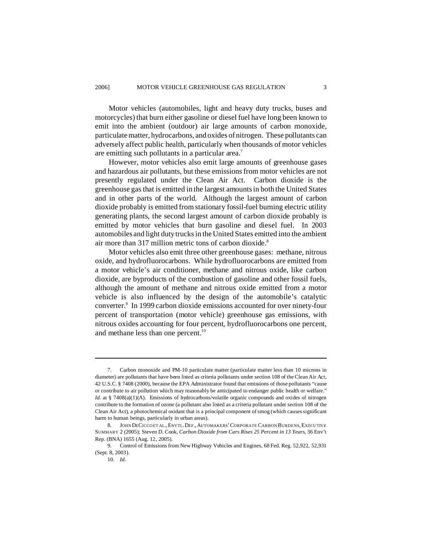Motor vehicles (automobiles, light and heavy duty trucks, buses and motorcycles) that burn either gasoline or diesel fuel have long been known to emit into the ambient (outdoor) air large amounts of carbon monoxide, particulate matter, hydrocarbons, and oxides of nitrogen. These pollutants can adversely affect public health, particularly when thousands of motor vehicles are emitting such pollutants in a particular area.<sup>7</sup>

However, motor vehicles also emit large amounts of greenhouse gases and hazardous air pollutants, but these emissions from motor vehicles are not presently regulated under the Clean Air Act. Carbon dioxide is the greenhouse gas that is emitted in the largest amounts in both the United States and in other parts of the world. Although the largest amount of carbon dioxide probably is emitted from stationary fossil-fuel burning electric utility generating plants, the second largest amount of carbon dioxide probably is emitted by motor vehicles that burn gasoline and diesel fuel. In 2003 automobiles and light duty trucks in the United States emitted into the ambient air more than 317 million metric tons of carbon dioxide.<sup>8</sup>

Motor vehicles also emit three other greenhouse gases: methane, nitrous oxide, and hydrofluorocarbons. While hydrofluorocarbons are emitted from a motor vehicle's air conditioner, methane and nitrous oxide, like carbon dioxide, are byproducts of the combustion of gasoline and other fossil fuels, although the amount of methane and nitrous oxide emitted from a motor vehicle is also influenced by the design of the automobile's catalytic converter.<sup>9</sup> In 1999 carbon dioxide emissions accounted for over ninety-four percent of transportation (motor vehicle) greenhouse gas emissions, with nitrous oxides accounting for four percent, hydrofluorocarbons one percent, and methane less than one percent.<sup>10</sup>

<sup>7.</sup> Carbon monoxide and PM-10 particulate matter (particulate matter less than 10 microns in diameter) are pollutants that have been listed as criteria pollutants under section 108 of the Clean Air Act, 42 U.S.C. § 7408 (2000), because the EPA Administrator found that emissions of those pollutants "cause or contribute to air pollution which may reasonably be anticipated to endanger public health or welfare." *Id.* at § 7408(a)(1)(A). Emissions of hydrocarbons/volatile organic compounds and oxides of nitrogen contribute to the formation of ozone (a pollutant also listed as a criteria pollutant under section 108 of the Clean Air Act), a photochemical oxidant that is a principal component of smog (which causes significant harm to human beings, particularly in urban areas).

<sup>8.</sup> JOHN DECICCOET AL., ENVTL. DEF., AUTOMAKERS' CORPORATE CARBON BURDENS, EXECUTIVE SUMMARY 2 (2005); Steven D. Cook, *Carbon Dioxide from Cars Rises 25 Percent in 13 Years*, 36 Env't Rep. (BNA) 1655 (Aug. 12, 2005).

<sup>9.</sup> Control of Emissions from New Highway Vehicles and Engines, 68 Fed. Reg. 52,922, 52,931 (Sept. 8, 2003).

<sup>10.</sup> *Id.*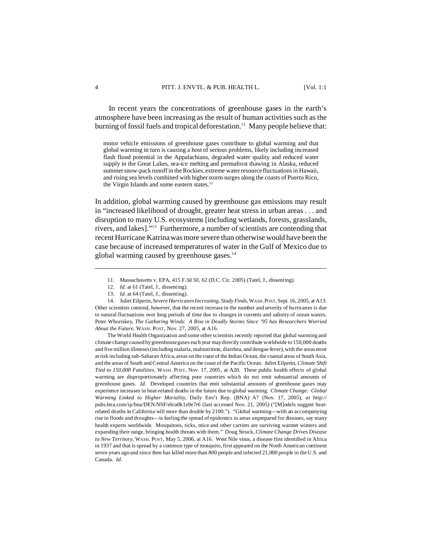In recent years the concentrations of greenhouse gases in the earth's atmosphere have been increasing as the result of human activities such as the burning of fossil fuels and tropical deforestation.<sup>11</sup> Many people believe that:

motor vehicle emissions of greenhouse gases contribute to global warming and that global warming in turn is causing a host of serious problems, likely including increased flash flood potential in the Appalachians, degraded water quality and reduced water supply in the Great Lakes, sea-ice melting and permafrost thawing in Alaska, reduced summer snow-pack runoff in the Rockies, extreme water resource fluctuations in Hawaii, and rising sea levels combined with higher storm surges along the coasts of Puerto Rico, the Virgin Islands and some eastern states.<sup>12</sup>

In addition, global warming caused by greenhouse gas emissions may result in "increased likelihood of drought, greater heat stress in urban areas . . . and disruption to many U.S. ecosystems [including wetlands, forests, grasslands, rivers, and lakes]."<sup>13</sup> Furthermore, a number of scientists are contending that recent Hurricane Katrina was more severe than otherwise would have been the case because of increased temperatures of water in the Gulf of Mexico due to global warming caused by greenhouse gases.<sup>14</sup>

14. Juliet Eilperin, *Severe Hurricanes Increasing, Study Finds*,WASH.POST, Sept. 16, 2005, at A13. Other scientists contend, however, that the recent increase in the number and severity of hurricanes is due to natural fluctuations over long periods of time due to changes in currents and salinity of ocean waters. Peter Whoriskey, *The Gathering Winds: A Rise in Deadly Storms Since '95 has Researchers Worried About the Future*, WASH. POST, Nov. 27, 2005, at A16.

The World Health Organization and some other scientists recently reported that global warming and climate change caused by greenhouse gases each year may directly contribute worldwide to 150,000 deaths and five million illnesses (including malaria, malnutrition, diarrhea, and dengue fever), with the areas most at risk including sub-Saharan Africa, areas on the coast of the Indian Ocean, the coastal areas of South Asia, and the areas of South and Central America on the coast of the Pacific Ocean. Juliet Eilperin, *Climate Shift Tied to 150,000 Fatalities*, WASH. POST, Nov. 17, 2005, at A20. These public health effects of global warming are disproportionately affecting poor countries which do not emit substantial amounts of greenhouse gases. *Id.* Developed countries that emit substantial amounts of greenhouse gases may experience increases in heat-related deaths in the future due to global warming. *Climate Change: Global Warming Linked to Higher Mortality*, Daily Env't Rep. (BNA) A7 (Nov. 17, 2005), *at* http:// pubs.bna.com/ip/bna/DEN.NSF/eh/a0b1z9e7r6 (last accessed Nov. 21, 2005) ("[M]odels suggest heatrelated deaths in California will more than double by 2100."). "Global warming—with an accompanying rise in floods and droughts—is fueling the spread of epidemics in areas unprepared for diseases, say many health experts worldwide. Mosquitoes, ticks, mice and other carriers are surviving warmer winters and expanding their range, bringing health threats with them." Doug Struck, *Climate Change Drives Disease to New Territory*, WASH. POST, May 5, 2006, at A16. West Nile virus, a disease first identified in Africa in 1937 and that is spread by a common type of mosquito, first appeared on the North American continent seven years ago and since then has killed more than 800 people and infected 21,000 people in the U.S. and Canada. *Id.*

<sup>11.</sup> Massachusetts v. EPA, 415 F.3d 50, 62 (D.C. Cir. 2005) (Tatel, J., dissenting).

<sup>12.</sup> *Id.* at 61 (Tatel, J., dissenting).

<sup>13.</sup> *Id.* at 64 (Tatel, J., dissenting).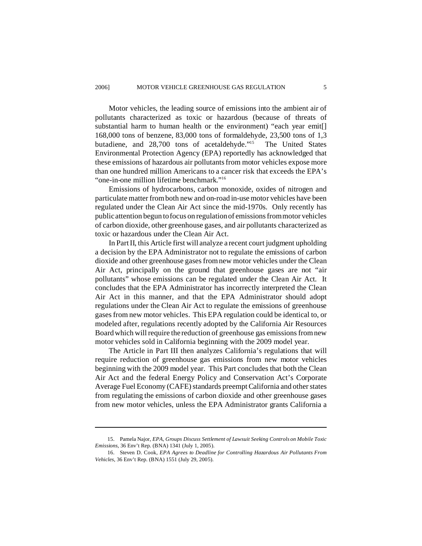Motor vehicles, the leading source of emissions into the ambient air of pollutants characterized as toxic or hazardous (because of threats of substantial harm to human health or the environment) "each year emit[] 168,000 tons of benzene, 83,000 tons of formaldehyde, 23,500 tons of 1,3 butadiene, and 28,700 tons of acetaldehyde."<sup>15</sup> The United States Environmental Protection Agency (EPA) reportedly has acknowledged that these emissions of hazardous air pollutants from motor vehicles expose more than one hundred million Americans to a cancer risk that exceeds the EPA's "one-in-one million lifetime benchmark."<sup>16</sup>

Emissions of hydrocarbons, carbon monoxide, oxides of nitrogen and particulate matter from both new and on-road in-use motor vehicles have been regulated under the Clean Air Act since the mid-1970s. Only recently has public attention begun to focus on regulation of emissions from motor vehicles of carbon dioxide, other greenhouse gases, and air pollutants characterized as toxic or hazardous under the Clean Air Act.

In Part II, this Article first will analyze a recent court judgment upholding a decision by the EPA Administrator not to regulate the emissions of carbon dioxide and other greenhouse gases from new motor vehicles under the Clean Air Act, principally on the ground that greenhouse gases are not "air pollutants" whose emissions can be regulated under the Clean Air Act. It concludes that the EPA Administrator has incorrectly interpreted the Clean Air Act in this manner, and that the EPA Administrator should adopt regulations under the Clean Air Act to regulate the emissions of greenhouse gases from new motor vehicles. This EPA regulation could be identical to, or modeled after, regulations recently adopted by the California Air Resources Board which will require the reduction of greenhouse gas emissions from new motor vehicles sold in California beginning with the 2009 model year.

The Article in Part III then analyzes California's regulations that will require reduction of greenhouse gas emissions from new motor vehicles beginning with the 2009 model year. This Part concludes that both the Clean Air Act and the federal Energy Policy and Conservation Act's Corporate Average Fuel Economy (CAFE) standards preempt California and other states from regulating the emissions of carbon dioxide and other greenhouse gases from new motor vehicles, unless the EPA Administrator grants California a

<sup>15.</sup> Pamela Najor, *EPA, Groups Discuss Settlement of Lawsuit Seeking Controls on Mobile Toxic Emissions*, 36 Env't Rep. (BNA) 1341 (July 1, 2005).

<sup>16.</sup> Steven D. Cook, *EPA Agrees to Deadline for Controlling Hazardous Air Pollutants From Vehicles*, 36 Env't Rep. (BNA) 1551 (July 29, 2005).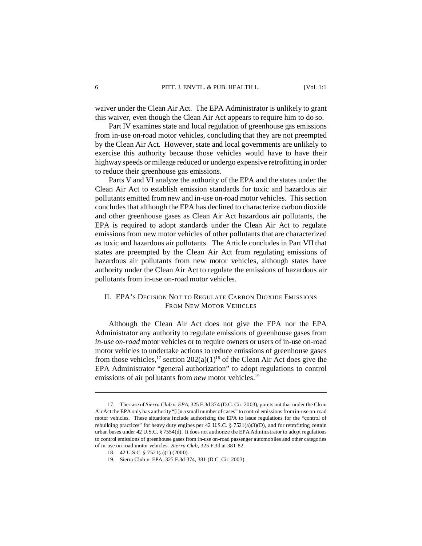waiver under the Clean Air Act. The EPA Administrator is unlikely to grant this waiver, even though the Clean Air Act appears to require him to do so.

Part IV examines state and local regulation of greenhouse gas emissions from in-use on-road motor vehicles, concluding that they are not preempted by the Clean Air Act. However, state and local governments are unlikely to exercise this authority because those vehicles would have to have their highway speeds or mileage reduced or undergo expensive retrofitting in order to reduce their greenhouse gas emissions.

Parts V and VI analyze the authority of the EPA and the states under the Clean Air Act to establish emission standards for toxic and hazardous air pollutants emitted from new and in-use on-road motor vehicles. This section concludes that although the EPA has declined to characterize carbon dioxide and other greenhouse gases as Clean Air Act hazardous air pollutants, the EPA is required to adopt standards under the Clean Air Act to regulate emissions from new motor vehicles of other pollutants that are characterized as toxic and hazardous air pollutants. The Article concludes in Part VII that states are preempted by the Clean Air Act from regulating emissions of hazardous air pollutants from new motor vehicles, although states have authority under the Clean Air Act to regulate the emissions of hazardous air pollutants from in-use on-road motor vehicles.

## II. EPA'S DECISION NOT TO REGULATE CARBON DIOXIDE EMISSIONS FROM NEW MOTOR VEHICLES

Although the Clean Air Act does not give the EPA nor the EPA Administrator any authority to regulate emissions of greenhouse gases from *in-use on-road* motor vehicles or to require owners or users of in-use on-road motor vehicles to undertake actions to reduce emissions of greenhouse gases from those vehicles,<sup>17</sup> section  $202(a)(1)^{18}$  of the Clean Air Act does give the EPA Administrator "general authorization" to adopt regulations to control emissions of air pollutants from *new* motor vehicles.<sup>19</sup>

<sup>17.</sup> The case of *Sierra Club v. EPA*, 325 F.3d 374 (D.C. Cir. 2003), points out that under the Clean Air Act the EPA only has authority "[i]n a small number of cases" to control emissions from in-use on-road motor vehicles. These situations include authorizing the EPA to issue regulations for the "control of rebuilding practices" for heavy duty engines per 42 U.S.C. § 7521(a)(3)(D), and for retrofitting certain urban buses under 42 U.S.C. § 7554(d). It does not authorize the EPA Administrator to adopt regulations to control emissions of greenhouse gases from in-use on-road passenger automobiles and other categories of in-use on-road motor vehicles. *Sierra Club*, 325 F.3d at 381-82.

<sup>18.</sup> 42 U.S.C. § 7521(a)(1) (2000).

<sup>19.</sup> Sierra Club v. EPA, 325 F.3d 374, 381 (D.C. Cir. 2003).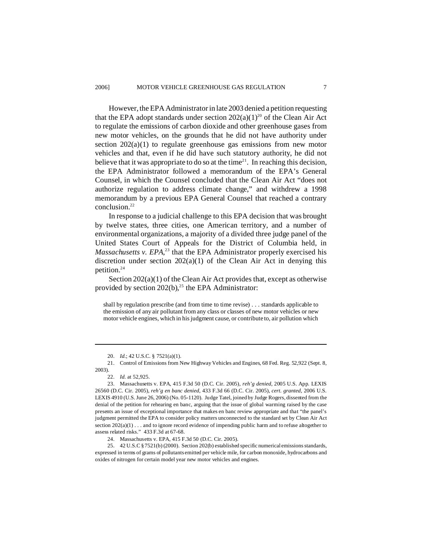However, the EPA Administrator in late 2003 denied a petition requesting that the EPA adopt standards under section  $202(a)(1)^{20}$  of the Clean Air Act to regulate the emissions of carbon dioxide and other greenhouse gases from new motor vehicles, on the grounds that he did not have authority under section 202(a)(1) to regulate greenhouse gas emissions from new motor vehicles and that, even if he did have such statutory authority, he did not believe that it was appropriate to do so at the time $^{21}$ . In reaching this decision, the EPA Administrator followed a memorandum of the EPA's General Counsel, in which the Counsel concluded that the Clean Air Act "does not authorize regulation to address climate change," and withdrew a 1998 memorandum by a previous EPA General Counsel that reached a contrary conclusion.<sup>22</sup>

In response to a judicial challenge to this EPA decision that was brought by twelve states, three cities, one American territory, and a number of environmental organizations, a majority of a divided three judge panel of the United States Court of Appeals for the District of Columbia held, in *Massachusetts v. EPA*, <sup>23</sup> that the EPA Administrator properly exercised his discretion under section  $202(a)(1)$  of the Clean Air Act in denying this petition.<sup>24</sup>

Section  $202(a)(1)$  of the Clean Air Act provides that, except as otherwise provided by section 202(b),<sup>25</sup> the EPA Administrator:

shall by regulation prescribe (and from time to time revise) . . . standards applicable to the emission of any air pollutant from any class or classes of new motor vehicles or new motor vehicle engines, which in his judgment cause, or contribute to, air pollution which

<sup>20.</sup> *Id.*; 42 U.S.C. § 7521(a)(1).

<sup>21.</sup> Control of Emissions from New Highway Vehicles and Engines, 68 Fed. Reg. 52,922 (Sept. 8, 2003).

<sup>22.</sup> *Id.* at 52,925.

<sup>23.</sup> Massachusetts v. EPA, 415 F.3d 50 (D.C. Cir. 2005), *reh'g denied*, 2005 U.S. App. LEXIS 26560 (D.C. Cir. 2005), *reh'g en banc denied*, 433 F.3d 66 (D.C. Cir. 2005), *cert. granted*, 2006 U.S. LEXIS 4910 (U.S. June 26, 2006) (No. 05-1120). Judge Tatel, joined by Judge Rogers, dissented from the denial of the petition for rehearing en banc, arguing that the issue of global warming raised by the case presents an issue of exceptional importance that makes en banc review appropriate and that "the panel's judgment permitted the EPA to consider policy matters unconnected to the standard set by Clean Air Act section  $202(a)(1)$ ... and to ignore record evidence of impending public harm and to refuse altogether to assess related risks." 433 F.3d at 67-68.

<sup>24.</sup> Massachusetts v. EPA, 415 F.3d 50 (D.C. Cir. 2005).

<sup>25.</sup> 42 U.S.C § 7521(b) (2000). Section 202(b) established specific numerical emissions standards, expressed in terms of grams of pollutants emitted per vehicle mile, for carbon monoxide, hydrocarbons and oxides of nitrogen for certain model year new motor vehicles and engines.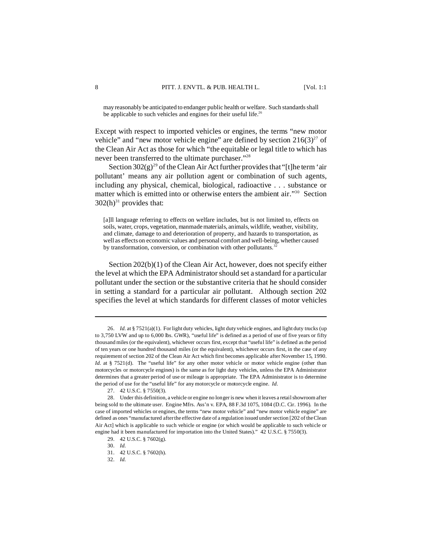may reasonably be anticipated to endanger public health or welfare. Such standards shall be applicable to such vehicles and engines for their useful life.<sup>26</sup>

Except with respect to imported vehicles or engines, the terms "new motor vehicle" and "new motor vehicle engine" are defined by section  $216(3)^{27}$  of the Clean Air Act as those for which "the equitable or legal title to which has never been transferred to the ultimate purchaser."<sup>28</sup>

Section  $302(g)^{29}$  of the Clean Air Act further provides that "[t]he term 'air pollutant' means any air pollution agent or combination of such agents, including any physical, chemical, biological, radioactive . . . substance or matter which is emitted into or otherwise enters the ambient air."<sup>30</sup> Section  $302(h)^{31}$  provides that:

Section 202(b)(1) of the Clean Air Act, however, does not specify either the level at which the EPA Administrator should set a standard for a particular pollutant under the section or the substantive criteria that he should consider in setting a standard for a particular air pollutant. Although section 202 specifies the level at which standards for different classes of motor vehicles

<sup>[</sup>a]ll language referring to effects on welfare includes, but is not limited to, effects on soils, water, crops, vegetation, manmade materials, animals, wildlife, weather, visibility, and climate, damage to and deterioration of property, and hazards to transportation, as well as effects on economic values and personal comfort and well-being, whether caused by transformation, conversion, or combination with other pollutants.<sup>3</sup>

<sup>26.</sup> *Id.* at § 7521(a)(1). For light duty vehicles, light duty vehicle engines, and light duty trucks (up to 3,750 LVW and up to 6,000 lbs. GWR), "useful life" is defined as a period of use of five years or fifty thousand miles (or the equivalent), whichever occurs first, except that "useful life" is defined as the period of ten years or one hundred thousand miles (or the equivalent), whichever occurs first, in the case of any requirement of section 202 of the Clean Air Act which first becomes applicable after November 15, 1990. *Id.* at § 7521(d). The "useful life" for any other motor vehicle or motor vehicle engine (other than motorcycles or motorcycle engines) is the same as for light duty vehicles, unless the EPA Administrator determines that a greater period of use or mileage is appropriate. The EPA Administrator is to determine the period of use for the "useful life" for any motorcycle or motorcycle engine. *Id.*

<sup>27.</sup> 42 U.S.C. § 7550(3).

<sup>28.</sup> Under this definition, a vehicle or engine no longer is new when it leaves a retail showroom after being sold to the ultimate user. Engine Mfrs. Ass'n v. EPA, 88 F.3d 1075, 1084 (D.C. Cir. 1996). In the case of imported vehicles or engines, the terms "new motor vehicle" and "new motor vehicle engine" are defined as ones "manufactured after the effective date of a regulation issued under section [202 of the Clean Air Act] which is applicable to such vehicle or engine (or which would be applicable to such vehicle or engine had it been manufactured for importation into the United States)." 42 U.S.C. § 7550(3).

<sup>29.</sup> 42 U.S.C. § 7602(g).

<sup>30.</sup> *Id.*

<sup>31.</sup> 42 U.S.C. § 7602(h).

<sup>32.</sup> *Id.*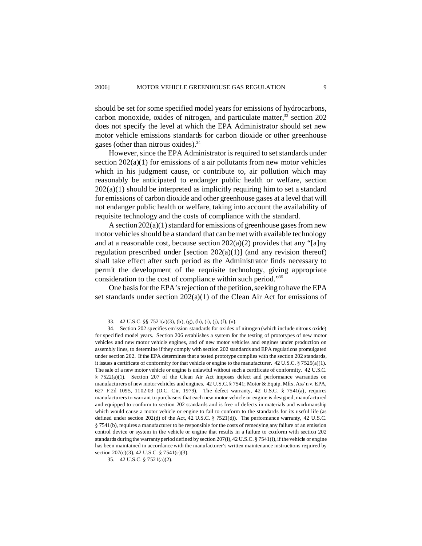should be set for some specified model years for emissions of hydrocarbons, carbon monoxide, oxides of nitrogen, and particulate matter, $33$  section 202 does not specify the level at which the EPA Administrator should set new motor vehicle emissions standards for carbon dioxide or other greenhouse gases (other than nitrous oxides).<sup>34</sup>

However, since the EPA Administrator is required to set standards under section  $202(a)(1)$  for emissions of a air pollutants from new motor vehicles which in his judgment cause, or contribute to, air pollution which may reasonably be anticipated to endanger public health or welfare, section  $202(a)(1)$  should be interpreted as implicitly requiring him to set a standard for emissions of carbon dioxide and other greenhouse gases at a level that will not endanger public health or welfare, taking into account the availability of requisite technology and the costs of compliance with the standard.

A section 202(a)(1) standard for emissions of greenhouse gases from new motor vehicles should be a standard that can be met with available technology and at a reasonable cost, because section  $202(a)(2)$  provides that any "[a]ny regulation prescribed under [section  $202(a)(1)$ ] (and any revision thereof) shall take effect after such period as the Administrator finds necessary to permit the development of the requisite technology, giving appropriate consideration to the cost of compliance within such period."<sup>35</sup>

One basis for the EPA's rejection of the petition, seeking to have the EPA set standards under section 202(a)(1) of the Clean Air Act for emissions of

<sup>33.</sup> 42 U.S.C. §§ 7521(a)(3), (b), (g), (h), (i), (j), (f), (n).

<sup>34.</sup> Section 202 specifies emission standards for oxides of nitrogen (which include nitrous oxide) for specified model years. Section 206 establishes a system for the testing of prototypes of new motor vehicles and new motor vehicle engines, and of new motor vehicles and engines under production on assembly lines, to determine if they comply with section 202 standards and EPA regulations promulgated under section 202. If the EPA determines that a tested prototype complies with the section 202 standards, it issues a certificate of conformity for that vehicle or engine to the manufacturer. 42 U.S.C. § 7525(a)(1). The sale of a new motor vehicle or engine is unlawful without such a certificate of conformity. 42 U.S.C. § 7522(a)(1). Section 207 of the Clean Air Act imposes defect and performance warranties on manufacturers of new motor vehicles and engines. 42 U.S.C. § 7541; Motor & Equip. Mfrs. Ass'n v. EPA, 627 F.2d 1095, 1102-03 (D.C. Cir. 1979). The defect warranty, 42 U.S.C. § 7541(a), requires manufacturers to warrant to purchasers that each new motor vehicle or engine is designed, manufactured and equipped to conform to section 202 standards and is free of defects in materials and workmanship which would cause a motor vehicle or engine to fail to conform to the standards for its useful life (as defined under section 202(d) of the Act, 42 U.S.C. § 7521(d)). The performance warranty, 42 U.S.C. § 7541(b), requires a manufacturer to be responsible for the costs of remedying any failure of an emission control device or system in the vehicle or engine that results in a failure to conform with section 202 standards during the warranty period defined by section 207(i), 42 U.S.C. § 7541(i), if the vehicle or engine has been maintained in accordance with the manufacturer's written maintenance instructions required by section 207(c)(3), 42 U.S.C. § 7541(c)(3).

<sup>35.</sup> 42 U.S.C. § 7521(a)(2).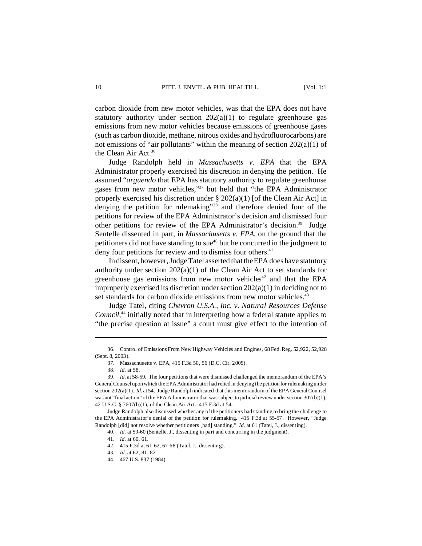carbon dioxide from new motor vehicles, was that the EPA does not have statutory authority under section  $202(a)(1)$  to regulate greenhouse gas emissions from new motor vehicles because emissions of greenhouse gases (such as carbon dioxide, methane, nitrous oxides and hydrofluorocarbons) are not emissions of "air pollutants" within the meaning of section 202(a)(1) of the Clean Air Act.<sup>36</sup>

Judge Randolph held in *Massachusetts v. EPA* that the EPA Administrator properly exercised his discretion in denying the petition. He assumed "*arguendo* that EPA has statutory authority to regulate greenhouse gases from new motor vehicles,"<sup>37</sup> but held that "the EPA Administrator properly exercised his discretion under  $\S 202(a)(1)$  [of the Clean Air Act] in denying the petition for rulemaking"<sup>38</sup> and therefore denied four of the petitions for review of the EPA Administrator's decision and dismissed four other petitions for review of the EPA Administrator's decision.<sup>39</sup> Judge Sentelle dissented in part, in *Massachusetts v. EPA*, on the ground that the petitioners did not have standing to sue<sup>40</sup> but he concurred in the judgment to deny four petitions for review and to dismiss four others.<sup>41</sup>

In dissent, however, Judge Tatel asserted that the EPA does have statutory authority under section 202(a)(1) of the Clean Air Act to set standards for greenhouse gas emissions from new motor vehicles <sup>42</sup> and that the EPA improperly exercised its discretion under section 202(a)(1) in deciding not to set standards for carbon dioxide emissions from new motor vehicles.<sup>43</sup>

Judge Tatel, citing *Chevron U.S.A., Inc. v. Natural Resources Defense Council*, <sup>44</sup> initially noted that in interpreting how a federal statute applies to "the precise question at issue" a court must give effect to the intention of

<sup>36.</sup> Control of Emissions From New Highway Vehicles and Engines, 68 Fed. Reg. 52,922, 52,928 (Sept. 8, 2003).

<sup>37.</sup> Massachusetts v. EPA, 415 F.3d 50, 56 (D.C. Cir. 2005).

<sup>38.</sup> *Id.* at 58.

<sup>39.</sup> *Id.* at 58-59. The four petitions that were dismissed challenged the memorandum of the EPA's General Counsel upon which the EPA Administrator had relied in denying the petition for rulemaking under section 202(a)(1). *Id.* at 54. Judge Randolph indicated that this memorandum of the EPA General Counsel was not "final action" of the EPA Administrator that was subject to judicial review under section 307(b)(1), 42 U.S.C. § 7607(b)(1), of the Clean Air Act. 415 F.3d at 54.

Judge Randolph also discussed whether any of the petitioners had standing to bring the challenge to the EPA Administrator's denial of the petition for rulemaking. 415 F.3d at 55-57. However, "Judge Randolph [did] not resolve whether petitioners [had] standing." *Id.* at 61 (Tatel, J., dissenting).

<sup>40.</sup> *Id.* at 59-60 (Sentelle, J., dissenting in part and concurring in the judgment).

<sup>41.</sup> *Id.* at 60, 61.

<sup>42.</sup> 415 F.3d at 61-62, 67-68 (Tatel, J., dissenting).

<sup>43.</sup> *Id.* at 62, 81, 82.

<sup>44.</sup> 467 U.S. 837 (1984).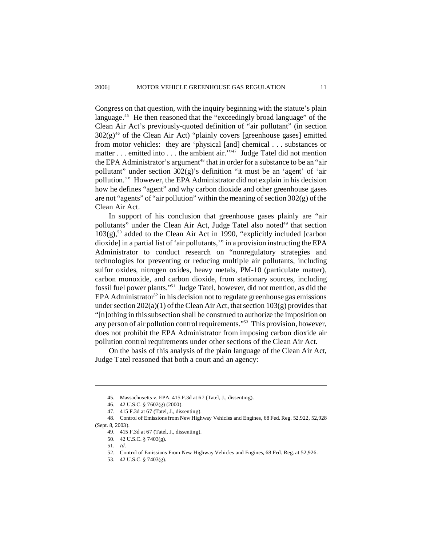Congress on that question, with the inquiry beginning with the statute's plain language.<sup>45</sup> He then reasoned that the "exceedingly broad language" of the Clean Air Act's previously-quoted definition of "air pollutant" (in section  $302(g)^{46}$  of the Clean Air Act) "plainly covers [greenhouse gases] emitted from motor vehicles: they are 'physical [and] chemical . . . substances or matter . . . emitted into . . . the ambient air."<sup>47</sup> Judge Tatel did not mention the EPA Administrator's argument<sup>48</sup> that in order for a substance to be an "air" pollutant" under section  $302(g)$ 's definition "it must be an 'agent' of 'air pollution.'" However, the EPA Administrator did not explain in his decision how he defines "agent" and why carbon dioxide and other greenhouse gases are not "agents" of "air pollution" within the meaning of section  $302(g)$  of the Clean Air Act.

In support of his conclusion that greenhouse gases plainly are "air pollutants" under the Clean Air Act, Judge Tatel also noted<sup>49</sup> that section  $103(g)$ ,<sup>50</sup> added to the Clean Air Act in 1990, "explicitly included [carbon] dioxide] in a partial list of 'air pollutants,'" in a provision instructing the EPA Administrator to conduct research on "nonregulatory strategies and technologies for preventing or reducing multiple air pollutants, including sulfur oxides, nitrogen oxides, heavy metals, PM-10 (particulate matter), carbon monoxide, and carbon dioxide, from stationary sources, including fossil fuel power plants."<sup>51</sup> Judge Tatel, however, did not mention, as did the EPA Administrator<sup>52</sup> in his decision not to regulate greenhouse gas emissions under section  $202(a)(1)$  of the Clean Air Act, that section  $103(g)$  provides that "[n]othing in this subsection shall be construed to authorize the imposition on any person of air pollution control requirements."<sup>53</sup> This provision, however, does not prohibit the EPA Administrator from imposing carbon dioxide air pollution control requirements under other sections of the Clean Air Act.

On the basis of this analysis of the plain language of the Clean Air Act, Judge Tatel reasoned that both a court and an agency:

<sup>45.</sup> Massachusetts v. EPA, 415 F.3d at 67 (Tatel, J., dissenting).

<sup>46.</sup> 42 U.S.C. § 7602(g) (2000).

<sup>47.</sup> 415 F.3d at 67 (Tatel, J., dissenting).

<sup>48.</sup> Control of Emissions from New Highway Vehicles and Engines, 68 Fed. Reg. 52,922, 52,928 (Sept. 8, 2003).

<sup>49.</sup> 415 F.3d at 67 (Tatel, J., dissenting).

<sup>50.</sup> 42 U.S.C. § 7403(g).

<sup>51.</sup> *Id.*

<sup>52.</sup> Control of Emissions From New Highway Vehicles and Engines, 68 Fed. Reg. at 52,926.

<sup>53.</sup> 42 U.S.C. § 7403(g).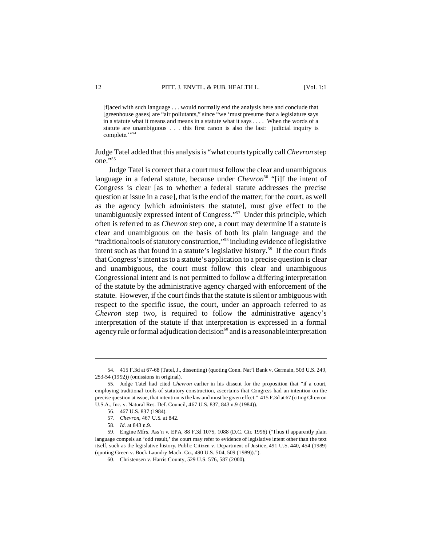[f]aced with such language . . . would normally end the analysis here and conclude that [greenhouse gases] are "air pollutants," since "we 'must presume that a legislature says in a statute what it means and means in a statute what it says . . . . When the words of a statute are unambiguous . . . this first canon is also the last: judicial inquiry is complete.""

Judge Tatel added that this analysis is "what courts typically call *Chevron* step one."<sup>55</sup>

Judge Tatel is correct that a court must follow the clear and unambiguous language in a federal statute, because under *Chevron*<sup>56</sup> "[i]f the intent of Congress is clear [as to whether a federal statute addresses the precise question at issue in a case], that is the end of the matter; for the court, as well as the agency [which administers the statute], must give effect to the unambiguously expressed intent of Congress."<sup>57</sup> Under this principle, which often is referred to as *Chevron* step one, a court may determine if a statute is clear and unambiguous on the basis of both its plain language and the "traditional tools of statutory construction,"<sup>58</sup> including evidence of legislative intent such as that found in a statute's legislative history.<sup>59</sup> If the court finds that Congress's intent as to a statute's application to a precise question is clear and unambiguous, the court must follow this clear and unambiguous Congressional intent and is not permitted to follow a differing interpretation of the statute by the administrative agency charged with enforcement of the statute. However, if the court finds that the statute is silent or ambiguous with respect to the specific issue, the court, under an approach referred to as *Chevron* step two, is required to follow the administrative agency's interpretation of the statute if that interpretation is expressed in a formal agency rule or formal adjudication decision<sup>60</sup> and is a reasonable interpretation

<sup>54.</sup> 415 F.3d at 67-68 (Tatel, J., dissenting) (quoting Conn. Nat'l Bank v. Germain, 503 U.S. 249, 253-54 (1992)) (omissions in original).

<sup>55.</sup> Judge Tatel had cited *Chevron* earlier in his dissent for the proposition that "if a court, employing traditional tools of statutory construction, ascertains that Congress had an intention on the precise question at issue, that intention is the law and must be given effect." 415 F.3d at 67 (citing Chevron U.S.A., Inc. v. Natural Res. Def. Council, 467 U.S. 837, 843 n.9 (1984)).

<sup>56.</sup> 467 U.S. 837 (1984).

<sup>57.</sup> *Chevron*, 467 U.S. at 842.

<sup>58.</sup> *Id.* at 843 n.9.

<sup>59.</sup> Engine Mfrs. Ass'n v. EPA, 88 F.3d 1075, 1088 (D.C. Cir. 1996) ("Thus if apparently plain language compels an 'odd result,' the court may refer to evidence of legislative intent other than the text itself, such as the legislative history. Public Citizen v. Department of Justice, 491 U.S. 440, 454 (1989) (quoting Green v. Bock Laundry Mach. Co., 490 U.S. 504, 509 (1989)).").

<sup>60.</sup> Christensen v. Harris County, 529 U.S. 576, 587 (2000).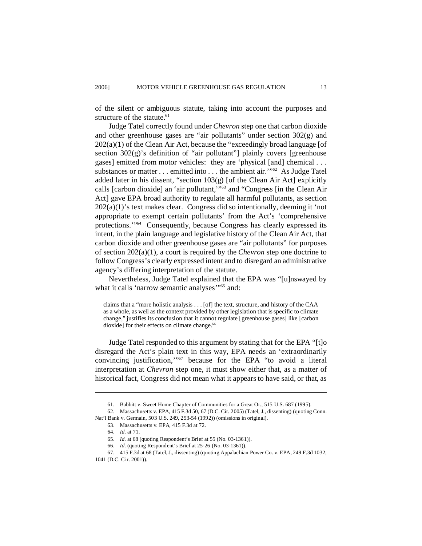of the silent or ambiguous statute, taking into account the purposes and structure of the statute.<sup>61</sup>

Judge Tatel correctly found under *Chevron* step one that carbon dioxide and other greenhouse gases are "air pollutants" under section 302(g) and  $202(a)(1)$  of the Clean Air Act, because the "exceedingly broad language [of section  $302(g)$ 's definition of "air pollutant"] plainly covers [greenhouse gases] emitted from motor vehicles: they are 'physical [and] chemical . . . substances or matter . . . emitted into . . . the ambient air.'"<sup>62</sup> As Judge Tatel added later in his dissent, "section  $103(g)$  [of the Clean Air Act] explicitly calls [carbon dioxide] an 'air pollutant,'" <sup>63</sup> and "Congress [in the Clean Air Act] gave EPA broad authority to regulate all harmful pollutants, as section  $202(a)(1)$ 's text makes clear. Congress did so intentionally, deeming it 'not appropriate to exempt certain pollutants' from the Act's 'comprehensive protections.'"<sup>64</sup> Consequently, because Congress has clearly expressed its intent, in the plain language and legislative history of the Clean Air Act, that carbon dioxide and other greenhouse gases are "air pollutants" for purposes of section 202(a)(1), a court is required by the *Chevron* step one doctrine to follow Congress's clearly expressed intent and to disregard an administrative agency's differing interpretation of the statute.

Nevertheless, Judge Tatel explained that the EPA was "[u]nswayed by what it calls 'narrow semantic analyses'"65 and:

claims that a "more holistic analysis . . . [of] the text, structure, and history of the CAA as a whole, as well as the context provided by other legislation that is specific to climate change," justifies its conclusion that it cannot regulate [greenhouse gases] like [carbon dioxide] for their effects on climate change.<sup>66</sup>

Judge Tatel responded to this argument by stating that for the EPA "[t]o disregard the Act's plain text in this way, EPA needs an 'extraordinarily convincing justification,'"<sup>67</sup> because for the EPA "to avoid a literal interpretation at *Chevron* step one, it must show either that, as a matter of historical fact, Congress did not mean what it appears to have said, or that, as

<sup>61.</sup> Babbitt v. Sweet Home Chapter of Communities for a Great Or., 515 U.S. 687 (1995).

<sup>62.</sup> Massachusetts v. EPA, 415 F.3d 50, 67 (D.C. Cir. 2005) (Tatel, J., dissenting) (quoting Conn. Nat'l Bank v. Germain, 503 U.S. 249, 253-54 (1992)) (omissions in original).

<sup>63.</sup> Massachusetts v. EPA, 415 F.3d at 72.

<sup>64.</sup> *Id.* at 71.

<sup>65.</sup> *Id.* at 68 (quoting Respondent's Brief at 55 (No. 03-1361)).

<sup>66.</sup> *Id.* (quoting Respondent's Brief at 25-26 (No. 03-1361)).

<sup>67.</sup> 415 F.3d at 68 (Tatel, J., dissenting) (quoting Appalachian Power Co. v. EPA, 249 F.3d 1032,

<sup>1041 (</sup>D.C. Cir. 2001)).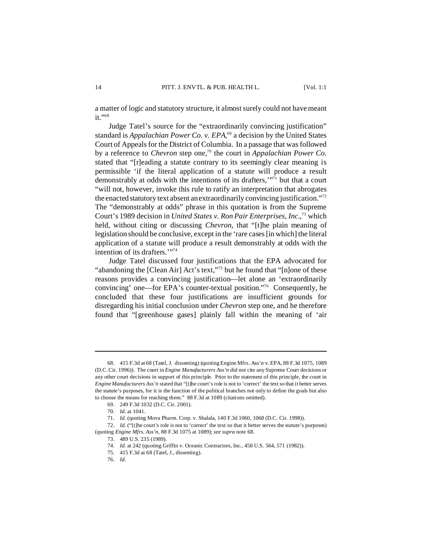a matter of logic and statutory structure, it almost surely could not have meant it."68

Judge Tatel's source for the "extraordinarily convincing justification" standard is *Appalachian Power Co. v. EPA*, <sup>69</sup> a decision by the United States Court of Appeals for the District of Columbia. In a passage that was followed by a reference to *Chevron* step one,<sup>70</sup> the court in *Appalachian Power Co.* stated that "[r]eading a statute contrary to its seemingly clear meaning is permissible 'if the literal application of a statute will produce a result demonstrably at odds with the intentions of its drafters,'"<sup>71</sup> but that a court "will not, however, invoke this rule to ratify an interpretation that abrogates the enacted statutory text absent an extraordinarily convincing justification."<sup>72</sup> The "demonstrably at odds" phrase in this quotation is from the Supreme Court's 1989 decision in *United States v. Ron Pair Enterprises, Inc.*, <sup>73</sup> which held, without citing or discussing *Chevron*, that "[t]he plain meaning of legislation should be conclusive, except in the 'rare cases [in which] the literal application of a statute will produce a result demonstrably at odds with the intention of its drafters.'"<sup>74</sup>

Judge Tatel discussed four justifications that the EPA advocated for "abandoning the [Clean Air] Act's text,"<sup>75</sup> but he found that "[n]one of these reasons provides a convincing justification—let alone an 'extraordinarily convincing' one—for EPA's counter-textual position." <sup>76</sup> Consequently, he concluded that these four justifications are insufficient grounds for disregarding his initial conclusion under *Chevron* step one, and he therefore found that "[greenhouse gases] plainly fall within the meaning of 'air

<sup>68.</sup> 415 F.3d at 68 (Tatel, J. dissenting) (quoting Engine Mfrs. Ass'n v. EPA, 88 F.3d 1075, 1089 (D.C. Cir. 1996)). The court in *Engine Manufacturers Ass'n* did not cite any Supreme Court decisions or any other court decisions in support of this principle. Prior to the statement of this principle, the court in *Engine Manufacturers Ass'n* stated that "[t]he court's role is not to 'correct' the text so that it better serves the statute's purposes, for it is the function of the political branches not only to define the goals but also to choose the means for reaching them." 88 F.3d at 1089 (citations omitted).

<sup>69.</sup> 249 F.3d 1032 (D.C. Cir. 2001).

<sup>70.</sup> *Id.* at 1041.

<sup>71.</sup> *Id.* (quoting Mova Pharm. Corp. v. Shalala, 140 F.3d 1060, 1068 (D.C. Cir. 1998)).

<sup>72.</sup> *Id.* ("[t]he court's role is not to 'correct' the text so that it better serves the statute's purposes) (quoting *Engine Mfrs. Ass'n*, 88 F.3d 1075 at 1089); *see supra* note 68.

<sup>73.</sup> 489 U.S. 235 (1989).

<sup>74.</sup> *Id.* at 242 (quoting Griffin v. Oceanic Contractors, Inc., 458 U.S. 564, 571 (1982)).

<sup>75.</sup> 415 F.3d at 68 (Tatel, J., dissenting).

<sup>76.</sup> *Id.*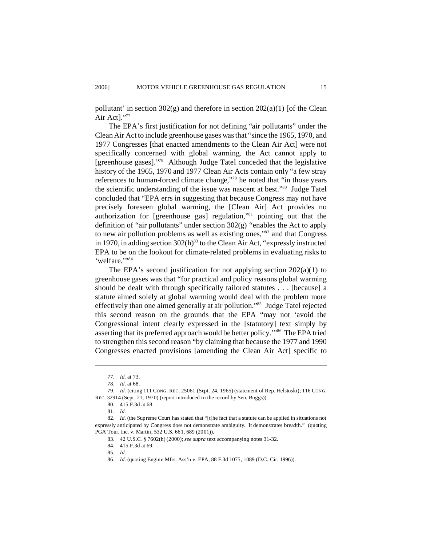pollutant' in section  $302(g)$  and therefore in section  $202(a)(1)$  [of the Clean Air Act]."77

The EPA's first justification for not defining "air pollutants" under the Clean Air Act to include greenhouse gases was that "since the 1965, 1970, and 1977 Congresses [that enacted amendments to the Clean Air Act] were not specifically concerned with global warming, the Act cannot apply to [greenhouse gases]."<sup>78</sup> Although Judge Tatel conceded that the legislative history of the 1965, 1970 and 1977 Clean Air Acts contain only "a few stray references to human-forced climate change,"<sup>79</sup> he noted that "in those years the scientific understanding of the issue was nascent at best."<sup>80</sup> Judge Tatel concluded that "EPA errs in suggesting that because Congress may not have precisely foreseen global warming, the [Clean Air] Act provides no authorization for [greenhouse gas] regulation,"<sup>81</sup> pointing out that the definition of "air pollutants" under section  $302(g)$  "enables the Act to apply to new air pollution problems as well as existing ones,"<sup>82</sup> and that Congress in 1970, in adding section  $302(h)^{83}$  to the Clean Air Act, "expressly instructed EPA to be on the lookout for climate-related problems in evaluating risks to 'welfare."<sup>84</sup>

The EPA's second justification for not applying section  $202(a)(1)$  to greenhouse gases was that "for practical and policy reasons global warming should be dealt with through specifically tailored statutes . . . [because] a statute aimed solely at global warming would deal with the problem more effectively than one aimed generally at air pollution."<sup>85</sup> Judge Tatel rejected this second reason on the grounds that the EPA "may not 'avoid the Congressional intent clearly expressed in the [statutory] text simply by asserting that its preferred approach would be better policy.'" <sup>86</sup> The EPA tried to strengthen this second reason "by claiming that because the 1977 and 1990 Congresses enacted provisions [amending the Clean Air Act] specific to

<sup>77.</sup> *Id.* at 73.

<sup>78.</sup> *Id.* at 68.

<sup>79.</sup> *Id.* (citing 111 CONG. REC. 25061 (Sept. 24, 1965) (statement of Rep. Helstoski); 116 CONG. REC. 32914 (Sept. 21, 1970) (report introduced in the record by Sen. Boggs)).

<sup>80.</sup> 415 F.3d at 68.

<sup>81.</sup> *Id.*

<sup>82.</sup> *Id.* (the Supreme Court has stated that "[t]he fact that a statute can be applied in situations not expressly anticipated by Congress does not demonstrate ambiguity. It demonstrates breadth." (quoting PGA Tour, Inc. v. Martin, 532 U.S. 661, 689 (2001)).

<sup>83.</sup> 42 U.S.C. § 7602(h) (2000); *see supra* text accompanying notes 31-32.

<sup>84.</sup> 415 F.3d at 69.

<sup>85.</sup> *Id.*

<sup>86.</sup> *Id.* (quoting Engine Mfrs. Ass'n v. EPA, 88 F.3d 1075, 1089 (D.C. Cir. 1996)).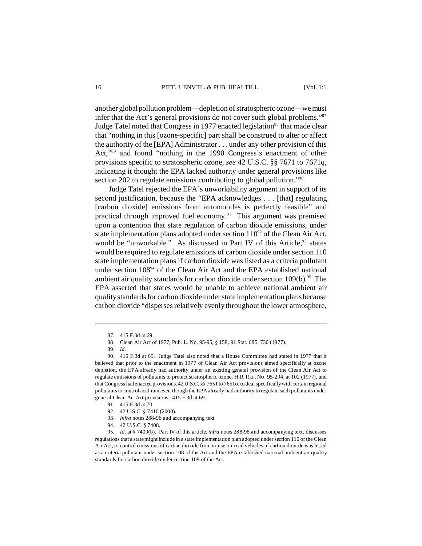another global pollution problem—depletion of stratospheric ozone—we must infer that the Act's general provisions do not cover such global problems."<sup>87</sup> Judge Tatel noted that Congress in 1977 enacted legislation<sup>88</sup> that made clear that "nothing in this [ozone-specific] part shall be construed to alter or affect the authority of the [EPA] Administrator . . . under any other provision of this Act,"<sup>89</sup> and found "nothing in the 1990 Congress's enactment of other provisions specific to stratospheric ozone, *see* 42 U.S.C. §§ 7671 to 7671q, indicating it thought the EPA lacked authority under general provisions like section 202 to regulate emissions contributing to global pollution."<sup>90</sup>

Judge Tatel rejected the EPA's unworkability argument in support of its second justification, because the "EPA acknowledges . . . [that] regulating [carbon dioxide] emissions from automobiles is perfectly feasible" and practical through improved fuel economy.<sup>91</sup> This argument was premised upon a contention that state regulation of carbon dioxide emissions, under state implementation plans adopted under section  $110^{92}$  of the Clean Air Act, would be "unworkable." As discussed in Part IV of this Article.<sup>93</sup> states would be required to regulate emissions of carbon dioxide under section 110 state implementation plans if carbon dioxide was listed as a criteria pollutant under section  $108<sup>94</sup>$  of the Clean Air Act and the EPA established national ambient air quality standards for carbon dioxide under section 109(b). <sup>95</sup> The EPA asserted that states would be unable to achieve national ambient air quality standards for carbon dioxide under state implementation plans because carbon dioxide "disperses relatively evenly throughout the lower atmosphere,

<sup>87.</sup> 415 F.3d at 69.

<sup>88.</sup> Clean Air Act of 1977, Pub. L. No. 95-95, § 158, 91 Stat. 685, 730 (1977).

<sup>89.</sup> *Id.*

<sup>90.</sup> 415 F.3d at 69. Judge Tatel also noted that a House Committee had stated in 1977 that it believed that prior to the enactment in 1977 of Clean Air Act provisions aimed specifically at ozone depletion, the EPA already had authority under an existing general provision of the Clean Air Act to regulate emissions of pollutants to protect stratospheric ozone, H.R. REP. NO. 95-294, at 102 (1977), and that Congress had enacted provisions, 42 U.S.C. §§ 7651 to 7651o, to deal specifically with certain regional pollutants to control acid rain even though the EPA already had authority to regulate such pollutants under general Clean Air Act provisions. 415 F.3d at 69.

<sup>91.</sup> 415 F.3d at 70.

<sup>92.</sup> 42 U.S.C. § 7410 (2000).

<sup>93.</sup> *Infra* notes 288-96 and accompanying text.

<sup>94.</sup> 42 U.S.C. § 7408.

<sup>95.</sup> *Id.* at § 7409(b). Part IV of this article, *infra* notes 288-98 and accompanying text, discusses regulations that a state might include in a state implementation plan adopted under section 110 of the Clean Air Act, to control emissions of carbon dioxide from in-use on-road vehicles, if carbon dioxide was listed as a criteria pollutant under section 108 of the Act and the EPA established national ambient air quality standards for carbon dioxide under section 109 of the Act.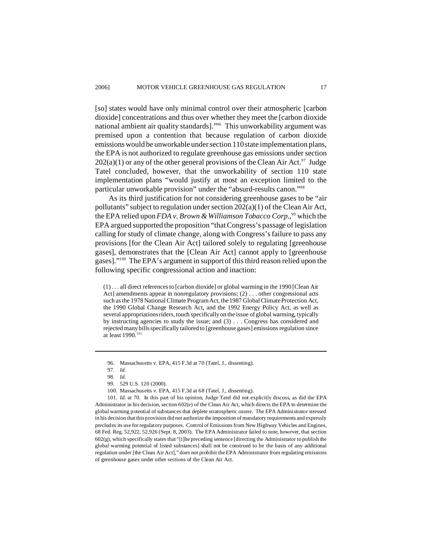[so] states would have only minimal control over their atmospheric [carbon] dioxide] concentrations and thus over whether they meet the [carbon dioxide national ambient air quality standards]."<sup>96</sup> This unworkability argument was premised upon a contention that because regulation of carbon dioxide emissions would be unworkable under section 110 state implementation plans, the EPA is not authorized to regulate greenhouse gas emissions under section  $202(a)(1)$  or any of the other general provisions of the Clean Air Act.<sup>97</sup> Judge Tatel concluded, however, that the unworkability of section 110 state implementation plans "would justify at most an exception limited to the particular unworkable provision" under the "absurd-results canon."<sup>98</sup>

As its third justification for not considering greenhouse gases to be "air pollutants" subject to regulation under section 202(a)(1) of the Clean Air Act, the EPA relied upon *FDA v. Brown & Williamson Tobacco Corp.*, <sup>99</sup> which the EPA argued supported the proposition "that Congress's passage of legislation calling for study of climate change, along with Congress's failure to pass any provisions [for the Clean Air Act] tailored solely to regulating [greenhouse gases], demonstrates that the [Clean Air Act] cannot apply to [greenhouse gases]."<sup>100</sup> The EPA's argument in support of this third reason relied upon the following specific congressional action and inaction:

(1) . . . all direct references to [carbon dioxide] or global warming in the 1990 [Clean Air Act] amendments appear in nonregulatory provisions; (2) . . . other congressional acts such as the 1978 National Climate Program Act, the 1987 Global Climate Protection Act, the 1990 Global Change Research Act, and the 1992 Energy Policy Act, as well as several appropriations riders, touch specifically on the issue of global warming, typically by instructing agencies to study the issue; and (3) . . . Congress has considered and rejected many bills specifically tailored to [greenhouse gases] emissions regulation since at least 1990.101

100. Massachusetts v. EPA, 415 F.3d at 68 (Tatel, J., dissenting).

101. *Id.* at 70. In this part of his opinion, Judge Tatel did not explicitly discuss, as did the EPA Administrator in his decision, section 602(e) of the Clean Air Act, which directs the EPA to determine the global warming potential of substances that deplete stratospheric ozone. The EPA Administrator stressed in his decision that this provision did not authorize the imposition of mandatory requirements and expressly precludes its use for regulatory purposes. Control of Emissions from New Highway Vehicles and Engines, 68 Fed. Reg. 52,922, 52,926 (Sept. 8, 2003). The EPA Administrator failed to note, however, that section 602(g), which specifically states that "[t]he preceding sentence [directing the Administrator to publish the global warming potential of listed substances] shall not be construed to be the basis of any additional regulation under [the Clean Air Act]," does not prohibit the EPA Administrator from regulating emissions of greenhouse gases under other sections of the Clean Air Act.

<sup>96.</sup> Massachusetts v. EPA, 415 F.3d at 70 (Tatel, J., dissenting).

<sup>97.</sup> *Id.*

<sup>98.</sup> *Id.*

<sup>99.</sup> 529 U.S. 120 (2000).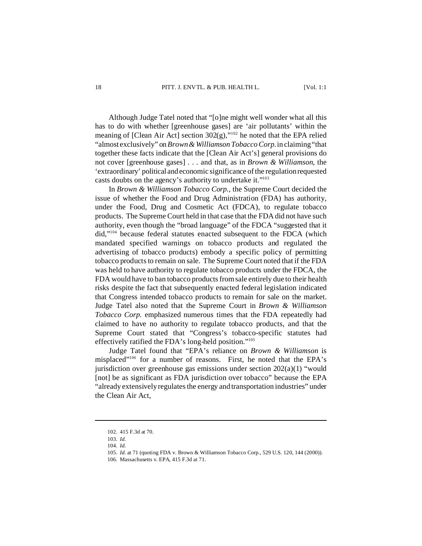Although Judge Tatel noted that "[o]ne might well wonder what all this has to do with whether [greenhouse gases] are 'air pollutants' within the meaning of [Clean Air Act] section  $302(g)$ ,"<sup>102</sup> he noted that the EPA relied "almost exclusively" on *Brown & Williamson Tobacco Corp.* in claiming "that together these facts indicate that the [Clean Air Act's] general provisions do not cover [greenhouse gases] . . . and that, as in *Brown & Williamson*, the 'extraordinary' political and economic significance of the regulation requested casts doubts on the agency's authority to undertake it."<sup>103</sup>

In *Brown & Williamson Tobacco Corp.*, the Supreme Court decided the issue of whether the Food and Drug Administration (FDA) has authority, under the Food, Drug and Cosmetic Act (FDCA), to regulate tobacco products. The Supreme Court held in that case that the FDA did not have such authority, even though the "broad language" of the FDCA "suggested that it did,"<sup>104</sup> because federal statutes enacted subsequent to the FDCA (which mandated specified warnings on tobacco products and regulated the advertising of tobacco products) embody a specific policy of permitting tobacco products to remain on sale. The Supreme Court noted that if the FDA was held to have authority to regulate tobacco products under the FDCA, the FDA would have to ban tobacco products from sale entirely due to their health risks despite the fact that subsequently enacted federal legislation indicated that Congress intended tobacco products to remain for sale on the market. Judge Tatel also noted that the Supreme Court in *Brown & Williamson Tobacco Corp.* emphasized numerous times that the FDA repeatedly had claimed to have no authority to regulate tobacco products, and that the Supreme Court stated that "Congress's tobacco-specific statutes had effectively ratified the FDA's long-held position."<sup>105</sup>

Judge Tatel found that "EPA's reliance on *Brown & Williamson* is misplaced"<sup>106</sup> for a number of reasons. First, he noted that the EPA's jurisdiction over greenhouse gas emissions under section  $202(a)(1)$  "would [not] be as significant as FDA jurisdiction over tobacco" because the EPA "already extensively regulates the energy and transportation industries" under the Clean Air Act,

<sup>102.</sup> 415 F.3d at 70.

<sup>103.</sup> *Id.*

<sup>104.</sup> *Id.*

<sup>105.</sup> *Id.* at 71 (quoting FDA v. Brown & Williamson Tobacco Corp., 529 U.S. 120, 144 (2000)).

<sup>106.</sup> Massachusetts v. EPA, 415 F.3d at 71.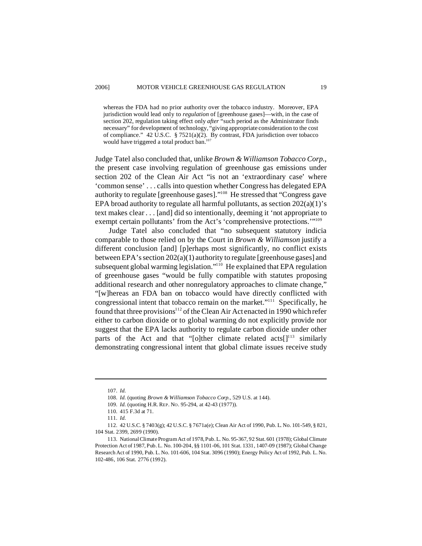whereas the FDA had no prior authority over the tobacco industry. Moreover, EPA jurisdiction would lead only to *regulation* of [greenhouse gases]—with, in the case of section 202, regulation taking effect only *after* "such period as the Administrator finds necessary" for development of technology, "giving appropriate consideration to the cost of compliance." 42 U.S.C. § 7521(a)(2). By contrast, FDA jurisdiction over tobacco would have triggered a total product ban.<sup>107</sup>

Judge Tatel also concluded that, unlike *Brown & Williamson Tobacco Corp.*, the present case involving regulation of greenhouse gas emissions under section 202 of the Clean Air Act "is not an 'extraordinary case' where 'common sense' . . . calls into question whether Congress has delegated EPA authority to regulate [greenhouse gases]."<sup>108</sup> He stressed that "Congress gave EPA broad authority to regulate all harmful pollutants, as section  $202(a)(1)$ 's text makes clear . . . [and] did so intentionally, deeming it 'not appropriate to exempt certain pollutants' from the Act's 'comprehensive protections.'"<sup>109</sup>

Judge Tatel also concluded that "no subsequent statutory indicia comparable to those relied on by the Court in *Brown & Williamson* justify a different conclusion [and] [p]erhaps most significantly, no conflict exists between EPA's section 202(a)(1) authority to regulate [greenhouse gases] and subsequent global warming legislation."<sup>110</sup> He explained that EPA regulation of greenhouse gases "would be fully compatible with statutes proposing additional research and other nonregulatory approaches to climate change," "[w]hereas an FDA ban on tobacco would have directly conflicted with congressional intent that tobacco remain on the market."<sup>111</sup> Specifically, he found that three provisions<sup>112</sup> of the Clean Air Act enacted in 1990 which refer either to carbon dioxide or to global warming do not explicitly provide nor suggest that the EPA lacks authority to regulate carbon dioxide under other parts of the Act and that "[o]ther climate related acts[]<sup>113</sup> similarly demonstrating congressional intent that global climate issues receive study

<sup>107.</sup> *Id.*

<sup>108.</sup> *Id.* (quoting *Brown & Williamson Tobacco Corp.*, 529 U.S. at 144).

<sup>109.</sup> *Id.* (quoting H.R.REP. NO. 95-294, at 42-43 (1977)).

<sup>110.</sup> 415 F.3d at 71.

<sup>111.</sup> *Id.*

<sup>112.</sup> 42 U.S.C. § 7403(g); 42 U.S.C. § 7671a(e); Clean Air Act of 1990, Pub. L. No. 101-549, § 821, 104 Stat. 2399, 2699 (1990).

<sup>113.</sup> National Climate Program Act of 1978, Pub. L. No. 95-367, 92 Stat. 601 (1978); Global Climate Protection Act of 1987, Pub. L. No. 100-204, §§ 1101-06, 101 Stat. 1331, 1407-09 (1987); Global Change Research Act of 1990, Pub. L. No. 101-606, 104 Stat. 3096 (1990); Energy Policy Act of 1992, Pub. L. No. 102-486, 106 Stat. 2776 (1992).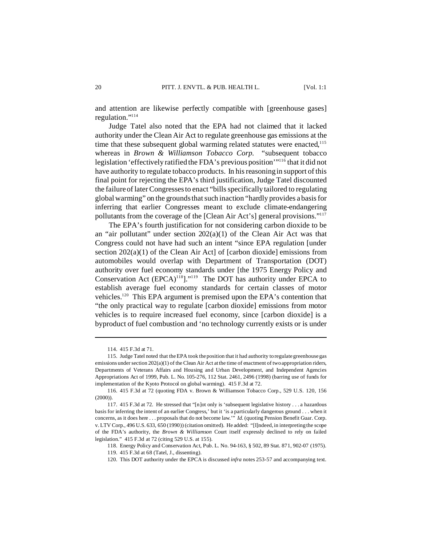and attention are likewise perfectly compatible with [greenhouse gases] regulation."<sup>114</sup>

Judge Tatel also noted that the EPA had not claimed that it lacked authority under the Clean Air Act to regulate greenhouse gas emissions at the time that these subsequent global warming related statutes were enacted,<sup>115</sup> whereas in *Brown & Williamson Tobacco Corp.* "subsequent tobacco legislation 'effectively ratified the FDA's previous position'"<sup>116</sup> that it did not have authority to regulate tobacco products. In his reasoning in support of this final point for rejecting the EPA's third justification, Judge Tatel discounted the failure of later Congresses to enact "bills specifically tailored to regulating global warming" on the grounds that such inaction "hardly provides a basis for inferring that earlier Congresses meant to exclude climate-endangering pollutants from the coverage of the [Clean Air Act's] general provisions."<sup>117</sup>

The EPA's fourth justification for not considering carbon dioxide to be an "air pollutant" under section 202(a)(1) of the Clean Air Act was that Congress could not have had such an intent "since EPA regulation [under section 202(a)(1) of the Clean Air Act] of [carbon dioxide] emissions from automobiles would overlap with Department of Transportation (DOT) authority over fuel economy standards under [the 1975 Energy Policy and Conservation Act  $(EPCA)^{118}$ ]."<sup>119</sup> The DOT has authority under EPCA to establish average fuel economy standards for certain classes of motor vehicles.<sup>120</sup> This EPA argument is premised upon the EPA's contention that "the only practical way to regulate [carbon dioxide] emissions from motor vehicles is to require increased fuel economy, since [carbon dioxide] is a byproduct of fuel combustion and 'no technology currently exists or is under

<sup>114.</sup> 415 F.3d at 71.

<sup>115.</sup> Judge Tatel noted that the EPA took the position that it had authority to regulate greenhouse gas emissions under section 202(a)(1) of the Clean Air Act at the time of enactment of two appropriation riders, Departments of Veterans Affairs and Housing and Urban Development, and Independent Agencies Appropriations Act of 1999, Pub. L. No. 105-276, 112 Stat. 2461, 2496 (1998) (barring use of funds for implementation of the Kyoto Protocol on global warming). 415 F.3d at 72.

<sup>116.</sup> 415 F.3d at 72 (quoting FDA v. Brown & Williamson Tobacco Corp., 529 U.S. 120, 156  $(2000)$ ).

<sup>117.</sup> 415 F.3d at 72. He stressed that "[n]ot only is 'subsequent legislative history . . . a hazardous basis for inferring the intent of an earlier Congress,' but it 'is a particularly dangerous ground . . . when it concerns, as it does here . . . proposals that do not become law.'" *Id.* (quoting Pension Benefit Guar. Corp. v. LTV Corp., 496 U.S. 633, 650 (1990)) (citation omitted). He added: "[I]ndeed, in interpreting the scope of the FDA's authority, the *Brown & Williamson* Court itself expressly declined to rely on failed legislation." 415 F.3d at 72 (citing 529 U.S. at 155).

<sup>118.</sup> Energy Policy and Conservation Act, Pub. L. No. 94-163, § 502, 89 Stat. 871, 902-07 (1975).

<sup>119.</sup> 415 F.3d at 68 (Tatel, J., dissenting).

<sup>120.</sup> This DOT authority under the EPCA is discussed *infra* notes 253-57 and accompanying text.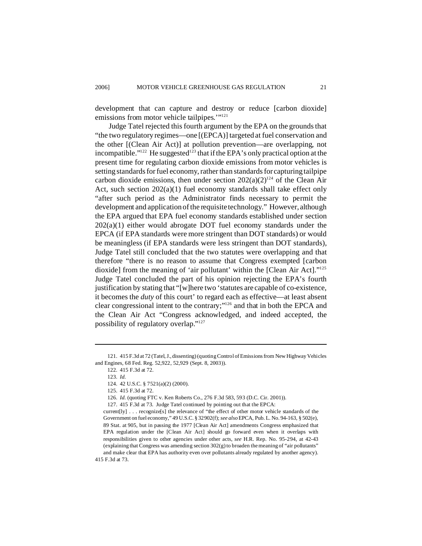development that can capture and destroy or reduce [carbon dioxide] emissions from motor vehicle tailpipes."<sup>121</sup>

Judge Tatel rejected this fourth argument by the EPA on the grounds that "the two regulatory regimes—one [(EPCA)] targeted at fuel conservation and the other [(Clean Air Act)] at pollution prevention—are overlapping, not incompatible."<sup>122</sup> He suggested<sup>123</sup> that if the EPA's only practical option at the present time for regulating carbon dioxide emissions from motor vehicles is setting standards for fuel economy, rather than standards for capturing tailpipe carbon dioxide emissions, then under section  $202(a)(2)^{124}$  of the Clean Air Act, such section  $202(a)(1)$  fuel economy standards shall take effect only "after such period as the Administrator finds necessary to permit the development and application of the requisite technology." However, although the EPA argued that EPA fuel economy standards established under section  $202(a)(1)$  either would abrogate DOT fuel economy standards under the EPCA (if EPA standards were more stringent than DOT standards) or would be meaningless (if EPA standards were less stringent than DOT standards), Judge Tatel still concluded that the two statutes were overlapping and that therefore "there is no reason to assume that Congress exempted [carbon dioxide] from the meaning of 'air pollutant' within the [Clean Air Act]."<sup>125</sup> Judge Tatel concluded the part of his opinion rejecting the EPA's fourth justification by stating that "[w]here two 'statutes are capable of co-existence, it becomes the *duty* of this court' to regard each as effective—at least absent clear congressional intent to the contrary;"<sup>126</sup> and that in both the EPCA and the Clean Air Act "Congress acknowledged, and indeed accepted, the possibility of regulatory overlap." 127

<sup>121.</sup> 415 F.3d at 72 (Tatel, J., dissenting) (quoting Control of Emissions from New Highway Vehicles and Engines, 68 Fed. Reg. 52,922, 52,929 (Sept. 8, 2003)).

<sup>122.</sup> 415 F.3d at 72.

<sup>123.</sup> *Id.*

<sup>124.</sup> 42 U.S.C. § 7521(a)(2) (2000).

<sup>125.</sup> 415 F.3d at 72.

<sup>126.</sup> *Id.* (quoting FTC v. Ken Roberts Co., 276 F.3d 583, 593 (D.C. Cir. 2001)).

<sup>127.</sup> 415 F.3d at 73. Judge Tatel continued by pointing out that the EPCA:

current[ly] . . . recognize[s] the relevance of "the effect of other motor vehicle standards of the Government on fuel economy," 49 U.S.C. § 32902(f);*see also* EPCA, Pub. L. No. 94-163, § 502(e), 89 Stat. at 905, but in passing the 1977 [Clean Air Act] amendments Congress emphasized that EPA regulation under the [Clean Air Act] should go forward even when it overlaps with responsibilities given to other agencies under other acts, *see* H.R. Rep. No. 95-294, at 42-43 (explaining that Congress was amending section  $302(g)$  to broaden the meaning of "air pollutants" and make clear that EPA has authority even over pollutants already regulated by another agency). 415 F.3d at 73.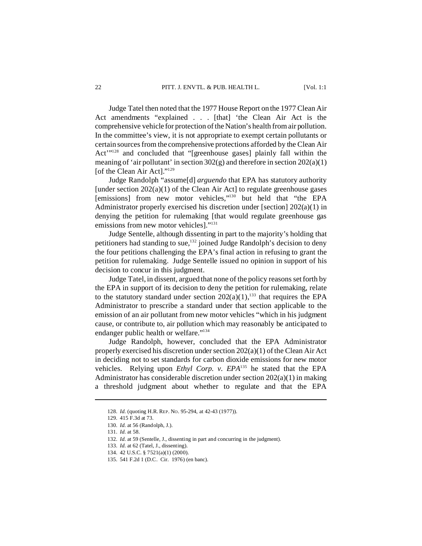Judge Tatel then noted that the 1977 House Report on the 1977 Clean Air Act amendments "explained . . . [that] 'the Clean Air Act is the comprehensive vehicle for protection of the Nation's health from air pollution. In the committee's view, it is not appropriate to exempt certain pollutants or certain sources from the comprehensive protections afforded by the Clean Air Act<sup>"128</sup> and concluded that "[greenhouse gases] plainly fall within the meaning of 'air pollutant' in section  $302(g)$  and therefore in section  $202(a)(1)$ [of the Clean Air Act]."<sup>129</sup>

Judge Randolph "assume[d] *arguendo* that EPA has statutory authority [under section  $202(a)(1)$  of the Clean Air Act] to regulate greenhouse gases [emissions] from new motor vehicles,"<sup>130</sup> but held that "the EPA Administrator properly exercised his discretion under [section] 202(a)(1) in denying the petition for rulemaking [that would regulate greenhouse gas emissions from new motor vehicles]."<sup>131</sup>

Judge Sentelle, although dissenting in part to the majority's holding that petitioners had standing to sue,<sup>132</sup> joined Judge Randolph's decision to deny the four petitions challenging the EPA's final action in refusing to grant the petition for rulemaking. Judge Sentelle issued no opinion in support of his decision to concur in this judgment.

Judge Tatel, in dissent, argued that none of the policy reasons set forth by the EPA in support of its decision to deny the petition for rulemaking, relate to the statutory standard under section  $202(a)(1)$ ,<sup>133</sup> that requires the EPA Administrator to prescribe a standard under that section applicable to the emission of an air pollutant from new motor vehicles "which in his judgment cause, or contribute to, air pollution which may reasonably be anticipated to endanger public health or welfare."<sup>134</sup>

Judge Randolph, however, concluded that the EPA Administrator properly exercised his discretion under section  $202(a)(1)$  of the Clean Air Act in deciding not to set standards for carbon dioxide emissions for new motor vehicles. Relying upon *Ethyl Corp. v. EPA*<sup>135</sup> he stated that the EPA Administrator has considerable discretion under section 202(a)(1) in making a threshold judgment about whether to regulate and that the EPA

<sup>128.</sup> *Id.* (quoting H.R.REP. NO. 95-294, at 42-43 (1977)).

<sup>129.</sup> 415 F.3d at 73.

<sup>130.</sup> *Id.* at 56 (Randolph, J.).

<sup>131.</sup> *Id.* at 58.

<sup>132.</sup> *Id.* at 59 (Sentelle, J., dissenting in part and concurring in the judgment).

<sup>133.</sup> *Id.* at 62 (Tatel, J., dissenting).

<sup>134.</sup> 42 U.S.C. § 7521(a)(1) (2000).

<sup>135.</sup> 541 F.2d 1 (D.C. Cir. 1976) (en banc).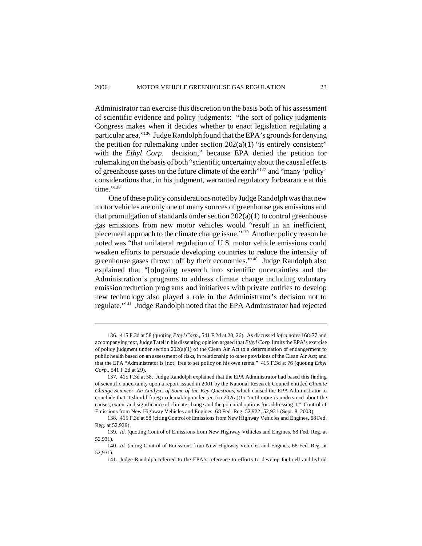Administrator can exercise this discretion on the basis both of his assessment of scientific evidence and policy judgments: "the sort of policy judgments Congress makes when it decides whether to enact legislation regulating a particular area."<sup>136</sup> Judge Randolph found that the EPA's grounds for denying the petition for rulemaking under section  $202(a)(1)$  "is entirely consistent" with the *Ethyl Corp.* decision," because EPA denied the petition for rulemaking on the basis of both "scientific uncertainty about the causal effects of greenhouse gases on the future climate of the earth"<sup>137</sup> and "many 'policy' considerations that, in his judgment, warranted regulatory forbearance at this time."<sup>138</sup>

One of these policy considerations noted by Judge Randolph was that new motor vehicles are only one of many sources of greenhouse gas emissions and that promulgation of standards under section  $202(a)(1)$  to control greenhouse gas emissions from new motor vehicles would "result in an inefficient, piecemeal approach to the climate change issue."<sup>139</sup> Another policy reason he noted was "that unilateral regulation of U.S. motor vehicle emissions could weaken efforts to persuade developing countries to reduce the intensity of greenhouse gases thrown off by their economies."<sup>140</sup> Judge Randolph also explained that "[o]ngoing research into scientific uncertainties and the Administration's programs to address climate change including voluntary emission reduction programs and initiatives with private entities to develop new technology also played a role in the Administrator's decision not to regulate."141 Judge Randolph noted that the EPA Administrator had rejected

<sup>136.</sup> 415 F.3d at 58 (quoting *Ethyl Corp.*, 541 F.2d at 20, 26). As discussed *infra* notes 168-77 and accompanying text, Judge Tatel in his dissenting opinion argued that *Ethyl Corp.* limits the EPA's exercise of policy judgment under section 202(a)(1) of the Clean Air Act to a determination of endangerment to public health based on an assessment of risks, in relationship to other provisions of the Clean Air Act; and that the EPA "Administrator is [not] free to set policy on his own terms." 415 F.3d at 76 (quoting *Ethyl Corp.*, 541 F.2d at 29).

<sup>137.</sup> 415 F.3d at 58. Judge Randolph explained that the EPA Administrator had based this finding of scientific uncertainty upon a report issued in 2001 by the National Research Council entitled *Climate Change Science: An Analysis of Some of the Key Questions*, which caused the EPA Administrator to conclude that it should forego rulemaking under section  $202(a)(1)$  "until more is understood about the causes, extent and significance of climate change and the potential options for addressing it." Control of Emissions from New Highway Vehicles and Engines, 68 Fed. Reg. 52,922, 52,931 (Sept. 8, 2003).

<sup>138.</sup> 415 F.3d at 58 (citing Control of Emissions from New Highway Vehicles and Engines, 68 Fed. Reg. at 52,929).

<sup>139.</sup> *Id.* (quoting Control of Emissions from New Highway Vehicles and Engines, 68 Fed. Reg. at 52,931).

<sup>140.</sup> *Id.* (citing Control of Emissions from New Highway Vehicles and Engines, 68 Fed. Reg. at 52,931).

<sup>141.</sup> Judge Randolph referred to the EPA's reference to efforts to develop fuel cell and hybrid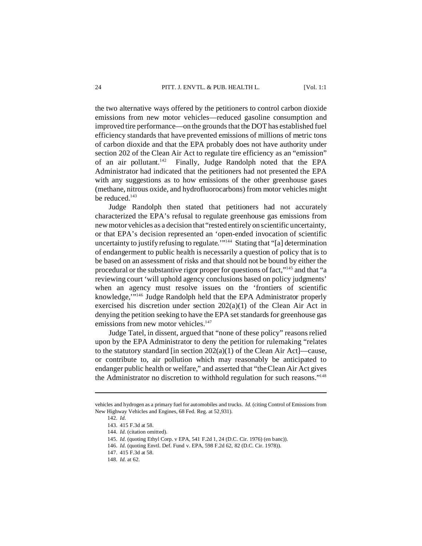the two alternative ways offered by the petitioners to control carbon dioxide emissions from new motor vehicles—reduced gasoline consumption and improved tire performance—on the grounds that the DOT has established fuel efficiency standards that have prevented emissions of millions of metric tons of carbon dioxide and that the EPA probably does not have authority under section 202 of the Clean Air Act to regulate tire efficiency as an "emission" of an air pollutant.<sup>142</sup> Finally, Judge Randolph noted that the EPA Administrator had indicated that the petitioners had not presented the EPA with any suggestions as to how emissions of the other greenhouse gases (methane, nitrous oxide, and hydrofluorocarbons) from motor vehicles might be reduced.<sup>143</sup>

Judge Randolph then stated that petitioners had not accurately characterized the EPA's refusal to regulate greenhouse gas emissions from new motor vehicles as a decision that "rested entirely on scientific uncertainty, or that EPA's decision represented an 'open-ended invocation of scientific uncertainty to justify refusing to regulate.'"<sup>144</sup> Stating that "[a] determination of endangerment to public health is necessarily a question of policy that is to be based on an assessment of risks and that should not be bound by either the procedural or the substantive rigor proper for questions of fact,"<sup>145</sup> and that "a reviewing court 'will uphold agency conclusions based on policy judgments' when an agency must resolve issues on the 'frontiers of scientific knowledge,'" <sup>146</sup> Judge Randolph held that the EPA Administrator properly exercised his discretion under section 202(a)(1) of the Clean Air Act in denying the petition seeking to have the EPA set standards for greenhouse gas emissions from new motor vehicles. $147$ 

Judge Tatel, in dissent, argued that "none of these policy" reasons relied upon by the EPA Administrator to deny the petition for rulemaking "relates to the statutory standard [in section  $202(a)(1)$  of the Clean Air Act]—cause, or contribute to, air pollution which may reasonably be anticipated to endanger public health or welfare," and asserted that "the Clean Air Act gives the Administrator no discretion to withhold regulation for such reasons."148

vehicles and hydrogen as a primary fuel for automobiles and trucks. *Id.* (citing Control of Emissions from New Highway Vehicles and Engines, 68 Fed. Reg. at 52,931).

<sup>142.</sup> *Id.*

<sup>143.</sup> 415 F.3d at 58.

<sup>144.</sup> *Id.* (citation omitted).

<sup>145.</sup> *Id.* (quoting Ethyl Corp. v EPA, 541 F.2d 1, 24 (D.C. Cir. 1976) (en banc)).

<sup>146.</sup> *Id.* (quoting Envtl. Def. Fund v. EPA, 598 F.2d 62, 82 (D.C. Cir. 1978)).

<sup>147.</sup> 415 F.3d at 58.

<sup>148.</sup> *Id.* at 62.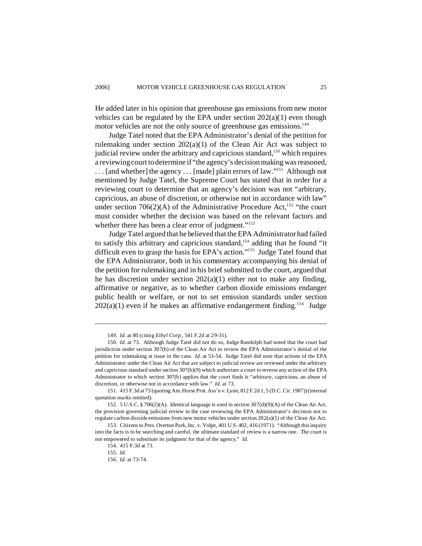He added later in his opinion that greenhouse gas emissions from new motor vehicles can be regulated by the EPA under section  $202(a)(1)$  even though motor vehicles are not the only source of greenhouse gas emissions.<sup>149</sup>

Judge Tatel noted that the EPA Administrator's denial of the petition for rulemaking under section  $202(a)(1)$  of the Clean Air Act was subject to judicial review under the arbitrary and capricious standard, $150$  which requires a reviewing court to determine if "the agency's decision making was reasoned, ... [and whether] the agency ... [made] plain errors of law."<sup>151</sup> Although not mentioned by Judge Tatel, the Supreme Court has stated that in order for a reviewing court to determine that an agency's decision was not "arbitrary, capricious, an abuse of discretion, or otherwise not in accordance with law" under section  $706(2)$ (A) of the Administrative Procedure Act,<sup>152</sup> "the court must consider whether the decision was based on the relevant factors and whether there has been a clear error of judgment."<sup>153</sup>

Judge Tatel argued that he believed that the EPA Administrator had failed to satisfy this arbitrary and capricious standard,<sup>154</sup> adding that he found "it difficult even to grasp the basis for EPA's action."<sup>155</sup> Judge Tatel found that the EPA Administrator, both in his commentary accompanying his denial of the petition for rulemaking and in his brief submitted to the court, argued that he has discretion under section  $202(a)(1)$  either not to make any finding, affirmative or negative, as to whether carbon dioxide emissions endanger public health or welfare, or not to set emission standards under section  $202(a)(1)$  even if he makes an affirmative endangerment finding.<sup>156</sup> Judge

<sup>149.</sup> *Id.* at 80 (citing *Ethyl Corp.*, 541 F.2d at 29-31).

<sup>150.</sup> *Id.* at 73. Although Judge Tatel did not do so, Judge Randolph had noted that the court had jurisdiction under section 307(b) of the Clean Air Act to review the EPA Administrator's denial of the petition for rulemaking at issue in the case. *Id.* at 53-54. Judge Tatel did note that actions of the EPA Administrator under the Clean Air Act that are subject to judicial review are reviewed under the arbitrary and capricious standard under section 307(b)(9) which authorizes a court to reverse any action of the EPA Administrator to which section 307(b) applies that the court finds is "arbitrary, capricious, an abuse of discretion, or otherwise not in accordance with law." *Id.* at 73.

<sup>151.</sup> 415 F.3d at 73 (quoting Am. Horse Prot. Ass'n v. Lynn, 812 F.2d 1, 5 (D.C. Cir. 1987)) (internal quotation marks omitted).

<sup>152.</sup> 5 U.S.C. § 706(2)(A). Identical language is used in section 307(d)(9)(A) of the Clean Air Act, the provision governing judicial review in the case reviewing the EPA Administrator's decision not to regulate carbon dioxide emissions from new motor vehicles under section 202(a)(1) of the Clean Air Act.

<sup>153.</sup> Citizens to Pres. Overton Park, Inc. v. Volpe, 401 U.S. 402, 416 (1971). "Although this inquiry into the facts is to be searching and careful, the ultimate standard of review is a narrow one. The court is not empowered to substitute its judgment for that of the agency." *Id.*

<sup>154.</sup> 415 F.3d at 73.

<sup>155.</sup> *Id.*

<sup>156.</sup> *Id.* at 73-74.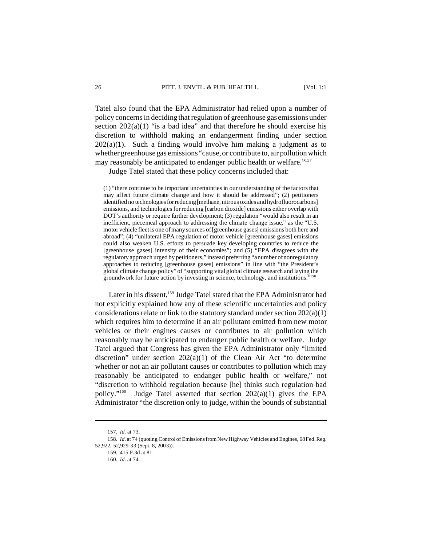Tatel also found that the EPA Administrator had relied upon a number of policy concerns in deciding that regulation of greenhouse gas emissions under section  $202(a)(1)$  "is a bad idea" and that therefore he should exercise his discretion to withhold making an endangerment finding under section  $202(a)(1)$ . Such a finding would involve him making a judgment as to whether greenhouse gas emissions "cause, or contribute to, air pollution which may reasonably be anticipated to endanger public health or welfare."<sup>157</sup>

Judge Tatel stated that these policy concerns included that:

(1) "there continue to be important uncertainties in our understanding of the factors that may affect future climate change and how it should be addressed"; (2) petitioners identified no technologies for reducing [methane, nitrous oxides and hydrofluorocarbons] emissions, and technologies for reducing [carbon dioxide] emissions either overlap with DOT's authority or require further development; (3) regulation "would also result in an inefficient, piecemeal approach to addressing the climate change issue," as the "U.S. motor vehicle fleet is one of many sources of [greenhouse gases] emissions both here and abroad"; (4) "unilateral EPA regulation of motor vehicle [greenhouse gases] emissions could also weaken U.S. efforts to persuade key developing countries to reduce the [greenhouse gases] intensity of their economies"; and (5) "EPA disagrees with the regulatory approach urged by petitioners," instead preferring "a number of nonregulatory approaches to reducing [greenhouse gases] emissions" in line with "the President's global climate change policy" of "supporting vital global climate research and laying the groundwork for future action by investing in science, technology, and institutions."<sup>158</sup>

Later in his dissent,<sup>159</sup> Judge Tatel stated that the EPA Administrator had not explicitly explained how any of these scientific uncertainties and policy considerations relate or link to the statutory standard under section 202(a)(1) which requires him to determine if an air pollutant emitted from new motor vehicles or their engines causes or contributes to air pollution which reasonably may be anticipated to endanger public health or welfare. Judge Tatel argued that Congress has given the EPA Administrator only "limited discretion" under section 202(a)(1) of the Clean Air Act "to determine whether or not an air pollutant causes or contributes to pollution which may reasonably be anticipated to endanger public health or welfare," not "discretion to withhold regulation because [he] thinks such regulation bad policy."<sup>160</sup> Judge Tatel asserted that section  $202(a)(1)$  gives the EPA Judge Tatel asserted that section  $202(a)(1)$  gives the EPA Administrator "the discretion only to judge, within the bounds of substantial

<sup>157.</sup> *Id.* at 73.

<sup>158.</sup> *Id.* at 74 (quoting Control of Emissions from New Highway Vehicles and Engines, 68 Fed. Reg. 52,922, 52,929-33 (Sept. 8, 2003)).

<sup>159.</sup> 415 F.3d at 81.

<sup>160.</sup> *Id.* at 74.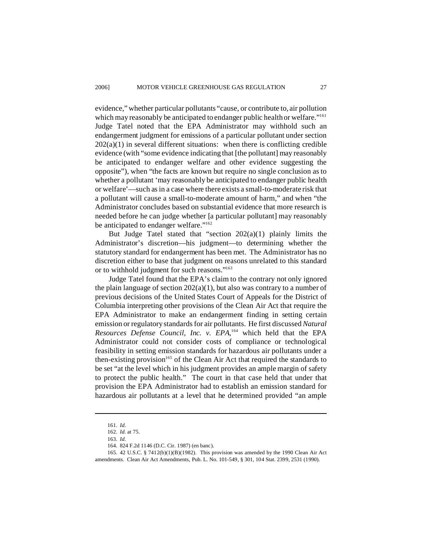evidence," whether particular pollutants "cause, or contribute to, air pollution which may reasonably be anticipated to endanger public health or welfare."<sup>161</sup> Judge Tatel noted that the EPA Administrator may withhold such an endangerment judgment for emissions of a particular pollutant under section  $202(a)(1)$  in several different situations: when there is conflicting credible evidence (with "some evidence indicating that [the pollutant] may reasonably be anticipated to endanger welfare and other evidence suggesting the opposite"), when "the facts are known but require no single conclusion as to whether a pollutant 'may reasonably be anticipated to endanger public health or welfare'—such as in a case where there exists a small-to-moderate risk that a pollutant will cause a small-to-moderate amount of harm," and when "the Administrator concludes based on substantial evidence that more research is needed before he can judge whether [a particular pollutant] may reasonably be anticipated to endanger welfare."<sup>162</sup>

But Judge Tatel stated that "section  $202(a)(1)$  plainly limits the Administrator's discretion—his judgment—to determining whether the statutory standard for endangerment has been met. The Administrator has no discretion either to base that judgment on reasons unrelated to this standard or to withhold judgment for such reasons."<sup>163</sup>

Judge Tatel found that the EPA's claim to the contrary not only ignored the plain language of section  $202(a)(1)$ , but also was contrary to a number of previous decisions of the United States Court of Appeals for the District of Columbia interpreting other provisions of the Clean Air Act that require the EPA Administrator to make an endangerment finding in setting certain emission or regulatory standards for air pollutants. He first discussed*Natural* Resources Defense Council, Inc. v. EPA,<sup>164</sup> which held that the EPA Administrator could not consider costs of compliance or technological feasibility in setting emission standards for hazardous air pollutants under a then-existing provision<sup>165</sup> of the Clean Air Act that required the standards to be set "at the level which in his judgment provides an ample margin of safety to protect the public health." The court in that case held that under that provision the EPA Administrator had to establish an emission standard for hazardous air pollutants at a level that he determined provided "an ample

<sup>161.</sup> *Id.*

<sup>162.</sup> *Id.* at 75.

<sup>163.</sup> *Id.*

<sup>164.</sup> 824 F.2d 1146 (D.C. Cir. 1987) (en banc).

<sup>165.</sup> 42 U.S.C. § 7412(b)(1)(B)(1982). This provision was amended by the 1990 Clean Air Act amendments. Clean Air Act Amendments, Pub. L. No. 101-549, § 301, 104 Stat. 2399, 2531 (1990).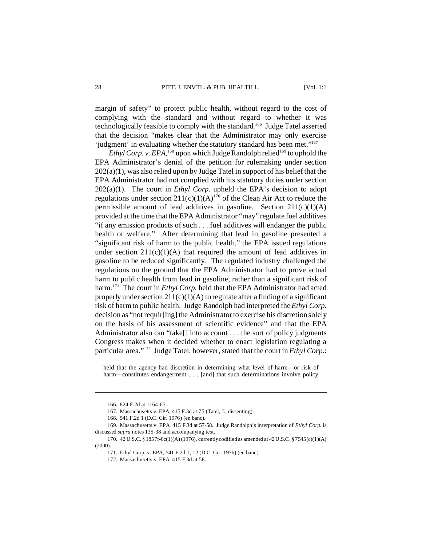margin of safety" to protect public health, without regard to the cost of complying with the standard and without regard to whether it was technologically feasible to comply with the standard. <sup>166</sup> Judge Tatel asserted that the decision "makes clear that the Administrator may only exercise 'judgment' in evaluating whether the statutory standard has been met."<sup>167</sup>

Ethyl Corp. v. EPA, <sup>168</sup> upon which Judge Randolph relied<sup>169</sup> to uphold the EPA Administrator's denial of the petition for rulemaking under section 202(a)(1), was also relied upon by Judge Tatel in support of his belief that the EPA Administrator had not complied with his statutory duties under section  $202(a)(1)$ . The court in *Ethyl Corp*. upheld the EPA's decision to adopt regulations under section  $211(c)(1)(A)^{170}$  of the Clean Air Act to reduce the permissible amount of lead additives in gasoline. Section  $211(c)(1)(A)$ provided at the time that the EPA Administrator "may" regulate fuel additives "if any emission products of such . . . fuel additives will endanger the public health or welfare." After determining that lead in gasoline presented a "significant risk of harm to the public health," the EPA issued regulations under section  $211(c)(1)(A)$  that required the amount of lead additives in gasoline to be reduced significantly. The regulated industry challenged the regulations on the ground that the EPA Administrator had to prove actual harm to public health from lead in gasoline, rather than a significant risk of harm.<sup>171</sup> The court in *Ethyl Corp*. held that the EPA Administrator had acted properly under section  $211(c)(1)(A)$  to regulate after a finding of a significant risk of harm to public health. Judge Randolph had interpreted the *Ethyl Corp.* decision as "not requir[ing] the Administrator to exercise his discretion solely on the basis of his assessment of scientific evidence" and that the EPA Administrator also can "take[] into account . . . the sort of policy judgments Congress makes when it decided whether to enact legislation regulating a particular area."<sup>172</sup> Judge Tatel, however, stated that the court in *Ethyl Corp.*:

held that the agency had discretion in determining what level of harm—or risk of harm—constitutes endangerment . . . [and] that such determinations involve policy

<sup>166.</sup> 824 F.2d at 1164-65.

<sup>167.</sup> Massachusetts v. EPA, 415 F.3d at 75 (Tatel, J., dissenting).

<sup>168.</sup> 541 F.2d 1 (D.C. Cir. 1976) (en banc).

<sup>169.</sup> Massachusetts v. EPA, 415 F.3d at 57-58. Judge Randolph's interpretation of *Ethyl Corp.* is discussed *supra* notes 135-38 and accompanying text.

<sup>170.</sup> 42 U.S.C. § 1857f-6c(1)(A) (1976), currently codified as amended at 42 U.S.C. § 7545(c)(1)(A) (2000).

<sup>171.</sup> Ethyl Corp. v. EPA, 541 F.2d 1, 12 (D.C. Cir. 1976) (en banc).

<sup>172.</sup> Massachusetts v. EPA, 415 F.3d at 58.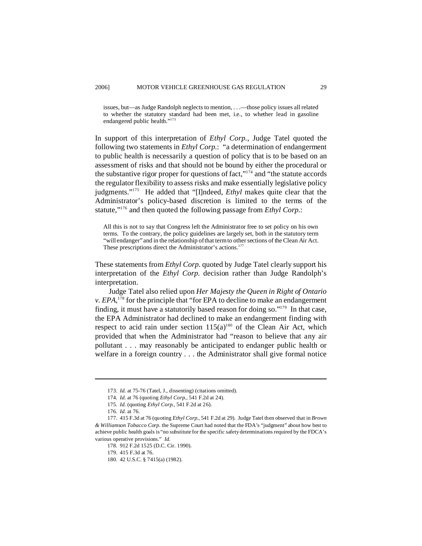issues, but—as Judge Randolph neglects to mention, . . .—those policy issues all related to whether the statutory standard had been met, i.e., to whether lead in gasoline endangered public health."<sup>173</sup>

In support of this interpretation of *Ethyl Corp.*, Judge Tatel quoted the following two statements in *Ethyl Corp.*: "a determination of endangerment to public health is necessarily a question of policy that is to be based on an assessment of risks and that should not be bound by either the procedural or the substantive rigor proper for questions of fact," $174$  and "the statute accords" the regulator flexibility to assess risks and make essentially legislative policy judgments."<sup>175</sup> He added that "[I]ndeed, *Ethyl* makes quite clear that the Administrator's policy-based discretion is limited to the terms of the statute,"<sup>176</sup> and then quoted the following passage from *Ethyl Corp.*:

These statements from *Ethyl Corp.* quoted by Judge Tatel clearly support his interpretation of the *Ethyl Corp.* decision rather than Judge Randolph's interpretation.

Judge Tatel also relied upon *Her Majesty the Queen in Right of Ontario v. EPA*, <sup>178</sup> for the principle that "for EPA to decline to make an endangerment finding, it must have a statutorily based reason for doing so." $179$  In that case, the EPA Administrator had declined to make an endangerment finding with respect to acid rain under section  $115(a)^{180}$  of the Clean Air Act, which provided that when the Administrator had "reason to believe that any air pollutant . . . may reasonably be anticipated to endanger public health or welfare in a foreign country . . . the Administrator shall give formal notice

All this is not to say that Congress left the Administrator free to set policy on his own terms. To the contrary, the policy guidelines are largely set, both in the statutory term "will endanger" and in the relationship of that term to other sections of the Clean Air Act. These prescriptions direct the Administrator's actions.<sup>177</sup>

<sup>173.</sup> *Id.* at 75-76 (Tatel, J., dissenting) (citations omitted).

<sup>174.</sup> *Id.* at 76 (quoting *Ethyl Corp.*, 541 F.2d at 24).

<sup>175.</sup> *Id.* (quoting *Ethyl Corp.*, 541 F.2d at 26).

<sup>176.</sup> *Id.* at 76.

<sup>177.</sup> 415 F.3d at 76 (quoting *Ethyl Corp.*, 541 F.2d at 29). Judge Tatel then observed that in *Brown & Williamson Tobacco Corp.* the Supreme Court had noted that the FDA's "judgment" about how best to achieve public health goals is "no substitute for the specific safety determinations required by the FDCA's various operative provisions." *Id.*

<sup>178.</sup> 912 F.2d 1525 (D.C. Cir. 1990).

<sup>179.</sup> 415 F.3d at 76.

<sup>180.</sup> 42 U.S.C. § 7415(a) (1982).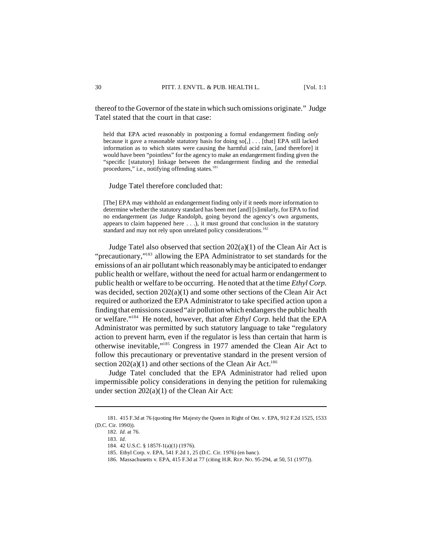thereof to the Governor of the state in which such omissions originate." Judge Tatel stated that the court in that case:

held that EPA acted reasonably in postponing a formal endangerment finding *only* because it gave a reasonable statutory basis for doing so[,] . . . [that] EPA still lacked information as to which states were causing the harmful acid rain, [and therefore] it would have been "pointless" for the agency to make an endangerment finding given the "specific [statutory] linkage between the endangerment finding and the remedial procedures," i.e., notifying offending states.<sup>181</sup>

Judge Tatel therefore concluded that:

[The] EPA may withhold an endangerment finding only if it needs more information to determine whether the statutory standard has been met [and] [s]imilarly, for EPA to find no endangerment (as Judge Randolph, going beyond the agency's own arguments, appears to claim happened here . . .), it must ground that conclusion in the statutory standard and may not rely upon unrelated policy considerations.<sup>182</sup>

Judge Tatel also observed that section  $202(a)(1)$  of the Clean Air Act is "precautionary,"<sup>183</sup> allowing the EPA Administrator to set standards for the emissions of an air pollutant which reasonably may be anticipated to endanger public health or welfare, without the need for actual harm or endangerment to public health or welfare to be occurring. He noted that at the time *Ethyl Corp.* was decided, section 202(a)(1) and some other sections of the Clean Air Act required or authorized the EPA Administrator to take specified action upon a finding that emissions caused "air pollution which endangers the public health or welfare."<sup>184</sup> He noted, however, that after *Ethyl Corp.* held that the EPA Administrator was permitted by such statutory language to take "regulatory action to prevent harm, even if the regulator is less than certain that harm is otherwise inevitable,"<sup>185</sup> Congress in 1977 amended the Clean Air Act to follow this precautionary or preventative standard in the present version of section  $202(a)(1)$  and other sections of the Clean Air Act.<sup>186</sup>

Judge Tatel concluded that the EPA Administrator had relied upon impermissible policy considerations in denying the petition for rulemaking under section 202(a)(1) of the Clean Air Act:

<sup>181.</sup> 415 F.3d at 76 (quoting Her Majesty the Queen in Right of Ont. v. EPA, 912 F.2d 1525, 1533 (D.C. Cir. 1990)).

<sup>182.</sup> *Id.* at 76.

<sup>183.</sup> *Id.*

<sup>184.</sup> 42 U.S.C. § 1857f-1(a)(1) (1976).

<sup>185.</sup> Ethyl Corp. v. EPA, 541 F.2d 1, 25 (D.C. Cir. 1976) (en banc).

<sup>186.</sup> Massachusetts v. EPA, 415 F.3d at 77 (citing H.R. REP. NO. 95-294, at 50, 51 (1977)).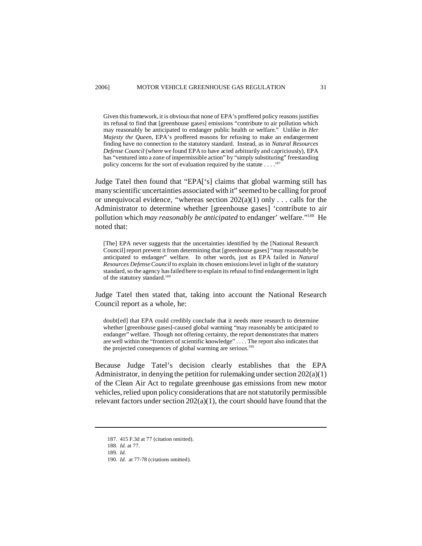Given this framework, it is obvious that none of EPA's proffered policy reasons justifies its refusal to find that [greenhouse gases] emissions "contribute to air pollution which may reasonably be anticipated to endanger public health or welfare." Unlike in *Her Majesty the Queen*, EPA's proffered reasons for refusing to make an endangerment finding have no connection to the statutory standard. Instead, as in *Natural Resources Defense Council* (where we found EPA to have acted arbitrarily and capriciously), EPA has "ventured into a zone of impermissible action" by "simply substituting" freestanding policy concerns for the sort of evaluation required by the statute  $\dots$ .<sup>187</sup>

Judge Tatel then found that "EPA['s] claims that global warming still has many scientific uncertainties associated with it" seemed to be calling for proof or unequivocal evidence, "whereas section  $202(a)(1)$  only . . . calls for the Administrator to determine whether [greenhouse gases] 'contribute to air pollution which *may reasonably be anticipated* to endanger' welfare."<sup>188</sup> He noted that:

[The] EPA never suggests that the uncertainties identified by the [National Research Council] report prevent it from determining that [greenhouse gases] "may reasonably be anticipated to endanger" welfare. In other words, just as EPA failed in *Natural Resources Defense Council* to explain its chosen emissions level in light of the statutory standard, so the agency has failed here to explain its refusal to find endangerment in light of the statutory standard.<sup>189</sup>

Judge Tatel then stated that, taking into account the National Research Council report as a whole, he:

doubt[ed] that EPA could credibly conclude that it needs more research to determine whether [greenhouse gases]-caused global warming "may reasonably be anticipated to endanger" welfare. Though not offering certainty, the report demonstrates that matters are well within the "frontiers of scientific knowledge" . . . . The report also indicates that the projected consequences of global warming are serious.<sup>190</sup>

Because Judge Tatel's decision clearly establishes that the EPA Administrator, in denying the petition for rulemaking under section 202(a)(1) of the Clean Air Act to regulate greenhouse gas emissions from new motor vehicles, relied upon policy considerations that are not statutorily permissible relevant factors under section  $202(a)(1)$ , the court should have found that the

<sup>187.</sup> 415 F.3d at 77 (citation omitted).

<sup>188.</sup> *Id.* at 77.

<sup>189.</sup> *Id.*

<sup>190.</sup> *Id.* at 77-78 (citations omitted).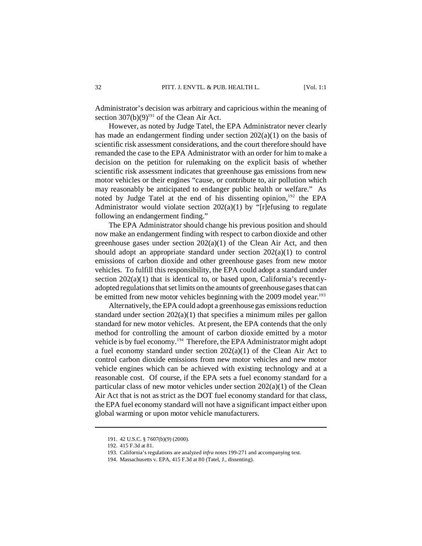Administrator's decision was arbitrary and capricious within the meaning of section  $307(b)(9)^{191}$  of the Clean Air Act.

However, as noted by Judge Tatel, the EPA Administrator never clearly has made an endangerment finding under section  $202(a)(1)$  on the basis of scientific risk assessment considerations, and the court therefore should have remanded the case to the EPA Administrator with an order for him to make a decision on the petition for rulemaking on the explicit basis of whether scientific risk assessment indicates that greenhouse gas emissions from new motor vehicles or their engines "cause, or contribute to, air pollution which may reasonably be anticipated to endanger public health or welfare." As noted by Judge Tatel at the end of his dissenting opinion,<sup>192</sup> the EPA Administrator would violate section  $202(a)(1)$  by "[r]efusing to regulate following an endangerment finding."

The EPA Administrator should change his previous position and should now make an endangerment finding with respect to carbon dioxide and other greenhouse gases under section  $202(a)(1)$  of the Clean Air Act, and then should adopt an appropriate standard under section 202(a)(1) to control emissions of carbon dioxide and other greenhouse gases from new motor vehicles. To fulfill this responsibility, the EPA could adopt a standard under section 202(a)(1) that is identical to, or based upon, California's recentlyadopted regulations that set limits on the amounts of greenhouse gases that can be emitted from new motor vehicles beginning with the 2009 model year.<sup>193</sup>

Alternatively, the EPA could adopt a greenhouse gas emissions reduction standard under section 202(a)(1) that specifies a minimum miles per gallon standard for new motor vehicles. At present, the EPA contends that the only method for controlling the amount of carbon dioxide emitted by a motor vehicle is by fuel economy.<sup>194</sup> Therefore, the EPA Administrator might adopt a fuel economy standard under section 202(a)(1) of the Clean Air Act to control carbon dioxide emissions from new motor vehicles and new motor vehicle engines which can be achieved with existing technology and at a reasonable cost. Of course, if the EPA sets a fuel economy standard for a particular class of new motor vehicles under section  $202(a)(1)$  of the Clean Air Act that is not as strict as the DOT fuel economy standard for that class, the EPA fuel economy standard will not have a significant impact either upon global warming or upon motor vehicle manufacturers.

<sup>191.</sup> 42 U.S.C. § 7607(b)(9) (2000).

<sup>192.</sup> 415 F.3d at 81.

<sup>193.</sup> California's regulations are analyzed *infra* notes 199-271 and accompanying text.

<sup>194.</sup> Massachusetts v. EPA, 415 F.3d at 80 (Tatel, J., dissenting).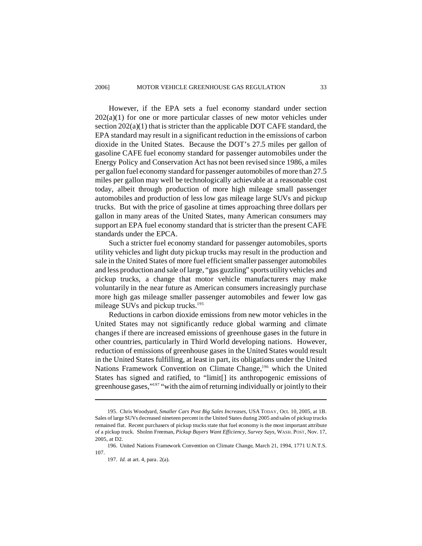However, if the EPA sets a fuel economy standard under section  $202(a)(1)$  for one or more particular classes of new motor vehicles under section  $202(a)(1)$  that is stricter than the applicable DOT CAFE standard, the EPA standard may result in a significant reduction in the emissions of carbon dioxide in the United States. Because the DOT's 27.5 miles per gallon of gasoline CAFE fuel economy standard for passenger automobiles under the Energy Policy and Conservation Act has not been revised since 1986, a miles per gallon fuel economy standard for passenger automobiles of more than 27.5 miles per gallon may well be technologically achievable at a reasonable cost today, albeit through production of more high mileage small passenger automobiles and production of less low gas mileage large SUVs and pickup trucks. But with the price of gasoline at times approaching three dollars per gallon in many areas of the United States, many American consumers may support an EPA fuel economy standard that is stricter than the present CAFE standards under the EPCA.

Such a stricter fuel economy standard for passenger automobiles, sports utility vehicles and light duty pickup trucks may result in the production and sale in the United States of more fuel efficient smaller passenger automobiles and less production and sale of large, "gas guzzling" sports utility vehicles and pickup trucks, a change that motor vehicle manufacturers may make voluntarily in the near future as American consumers increasingly purchase more high gas mileage smaller passenger automobiles and fewer low gas mileage SUVs and pickup trucks.<sup>195</sup>

Reductions in carbon dioxide emissions from new motor vehicles in the United States may not significantly reduce global warming and climate changes if there are increased emissions of greenhouse gases in the future in other countries, particularly in Third World developing nations. However, reduction of emissions of greenhouse gases in the United States would result in the United States fulfilling, at least in part, its obligations under the United Nations Framework Convention on Climate Change,<sup>196</sup> which the United States has signed and ratified, to "limit[] its anthropogenic emissions of greenhouse gases,"197 "with the aim of returning individually or jointly to their

<sup>195.</sup> Chris Woodyard, *Smaller Cars Post Big Sales Increases*, USA TODAY, Oct. 10, 2005, at 1B. Sales of large SUVs decreased nineteen percent in the United States during 2005 and sales of pickup trucks remained flat. Recent purchasers of pickup trucks state that fuel economy is the most important attribute of a pickup truck. Sholnn Freeman, *Pickup Buyers Want Efficiency, Survey Says*, WASH. POST, Nov. 17, 2005, at D2.

<sup>196.</sup> United Nations Framework Convention on Climate Change, March 21, 1994, 1771 U.N.T.S. 107.

<sup>197.</sup> *Id.* at art. 4, para. 2(a).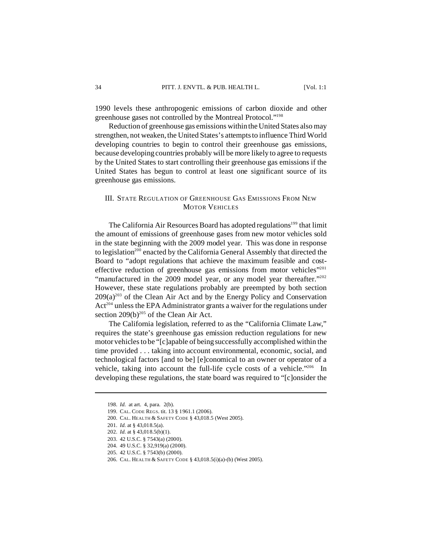1990 levels these anthropogenic emissions of carbon dioxide and other greenhouse gases not controlled by the Montreal Protocol."<sup>198</sup>

Reduction of greenhouse gas emissions within the United States also may strengthen, not weaken, the United States's attempts to influence Third World developing countries to begin to control their greenhouse gas emissions, because developing countries probably will be more likely to agree to requests by the United States to start controlling their greenhouse gas emissions if the United States has begun to control at least one significant source of its greenhouse gas emissions.

## III. STATE REGULATION OF GREENHOUSE GAS EMISSIONS FROM NEW MOTOR VEHICLES

The California Air Resources Board has adopted regulations<sup>199</sup> that limit the amount of emissions of greenhouse gases from new motor vehicles sold in the state beginning with the 2009 model year. This was done in response to legislation<sup>200</sup> enacted by the California General Assembly that directed the Board to "adopt regulations that achieve the maximum feasible and costeffective reduction of greenhouse gas emissions from motor vehicles"<sup>201</sup> "manufactured in the 2009 model year, or any model year thereafter."<sup>202</sup> However, these state regulations probably are preempted by both section  $209(a)^{203}$  of the Clean Air Act and by the Energy Policy and Conservation Act<sup>204</sup> unless the EPA Administrator grants a waiver for the regulations under section  $209(b)^{205}$  of the Clean Air Act.

The California legislation, referred to as the "California Climate Law," requires the state's greenhouse gas emission reduction regulations for new motor vehicles to be "[c]apable of being successfully accomplished within the time provided . . . taking into account environmental, economic, social, and technological factors [and to be] [e]conomical to an owner or operator of a vehicle, taking into account the full-life cycle costs of a vehicle."<sup>206</sup> In developing these regulations, the state board was required to "[c]onsider the

<sup>198.</sup> *Id.* at art. 4, para. 2(b).

<sup>199.</sup> CAL. CODE REGS. tit. 13 § 1961.1 (2006).

<sup>200.</sup> CAL. HEALTH & SAFETY CODE § 43,018.5 (West 2005).

<sup>201.</sup> *Id.* at § 43,018.5(a).

<sup>202.</sup> *Id.* at § 43,018.5(b)(1).

<sup>203.</sup> 42 U.S.C. § 7543(a) (2000).

<sup>204.</sup> 49 U.S.C. § 32,919(a) (2000).

<sup>205.</sup> 42 U.S.C. § 7543(b) (2000).

<sup>206.</sup> CAL. HEALTH & SAFETY CODE § 43,018.5(i)(a)-(b) (West 2005).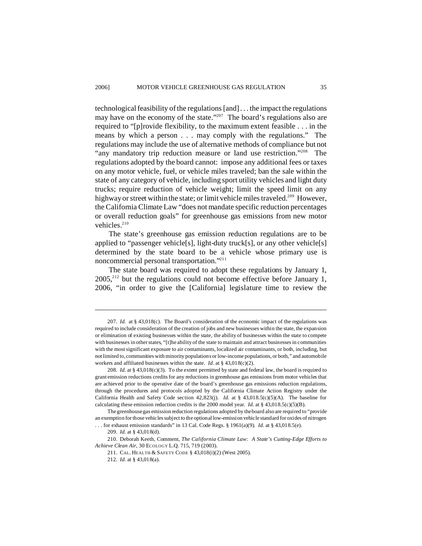technological feasibility of the regulations [and] . . . the impact the regulations may have on the economy of the state."<sup>207</sup> The board's regulations also are required to "[p]rovide flexibility, to the maximum extent feasible . . . in the means by which a person . . . may comply with the regulations." The regulations may include the use of alternative methods of compliance but not "any mandatory trip reduction measure or land use restriction."<sup>208</sup> The regulations adopted by the board cannot: impose any additional fees or taxes on any motor vehicle, fuel, or vehicle miles traveled; ban the sale within the state of any category of vehicle, including sport utility vehicles and light duty trucks; require reduction of vehicle weight; limit the speed limit on any highway or street within the state; or limit vehicle miles traveled.<sup>209</sup> However, the California Climate Law "does not mandate specific reduction percentages or overall reduction goals" for greenhouse gas emissions from new motor vehicles.<sup>210</sup>

The state's greenhouse gas emission reduction regulations are to be applied to "passenger vehicle[s], light-duty truck[s], or any other vehicle[s] determined by the state board to be a vehicle whose primary use is noncommercial personal transportation."<sup>211</sup>

The state board was required to adopt these regulations by January 1,  $2005$ <sup>212</sup> but the regulations could not become effective before January 1, 2006, "in order to give the [California] legislature time to review the

<sup>207.</sup> *Id.* at § 43,018(c). The Board's consideration of the economic impact of the regulations was required to include consideration of the creation of jobs and new businesses within the state, the expansion or elimination of existing businesses within the state, the ability of businesses within the state to compete with businesses in other states, "[t]he ability of the state to maintain and attract businesses in communities with the most significant exposure to air contaminants, localized air contaminants, or both, including, but not limited to, communities with minority populations or low-income populations, or both," and automobile workers and affiliated businesses within the state. *Id.* at § 43,018(c)(2).

<sup>208.</sup> *Id.* at § 43,018(c)(3). To the extent permitted by state and federal law, the board is required to grant emission reductions credits for any reductions in greenhouse gas emissions from motor vehicles that are achieved prior to the operative date of the board's greenhouse gas emissions reduction regulations, through the procedures and protocols adopted by the California Climate Action Registry under the California Health and Safety Code section 42,823(j). *Id.* at § 43,018.5(c)(5)(A). The baseline for calculating these emission reduction credits is the 2000 model year. *Id.* at § 43,018.5(c)(5)(B).

The greenhouse gas emission reduction regulations adopted by the board also are required to "provide an exemption for those vehicles subject to the optional low-emission vehicle standard for oxides of nitrogen . . . for exhaust emission standards" in 13 Cal. Code Regs. § 1961(a)(9). *Id.* at § 43,018.5(e).

<sup>209.</sup> *Id.* at § 43,018(d).

<sup>210.</sup> Deborah Keeth, Comment, *The California Climate Law: A State's Cutting-Edge Efforts to Achieve Clean Air*, 30 ECOLOGY L.Q. 715, 719 (2003).

<sup>211.</sup> CAL. HEALTH & SAFETY CODE § 43,018(i)(2) (West 2005).

<sup>212.</sup> *Id.* at § 43,018(a).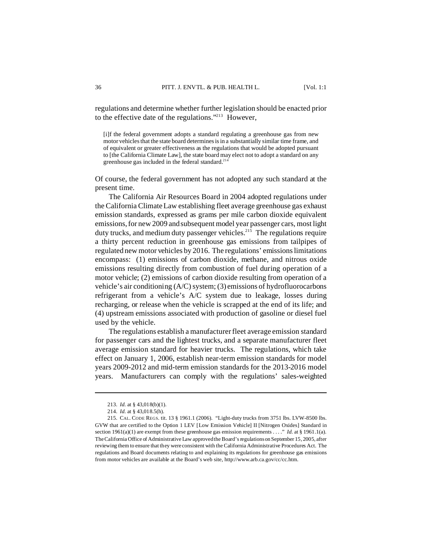regulations and determine whether further legislation should be enacted prior to the effective date of the regulations."<sup>213</sup> However,

[i]f the federal government adopts a standard regulating a greenhouse gas from new motor vehicles that the state board determines is in a substantially similar time frame, and of equivalent or greater effectiveness as the regulations that would be adopted pursuant to [the California Climate Law], the state board may elect not to adopt a standard on any greenhouse gas included in the federal standard.<sup>214</sup>

Of course, the federal government has not adopted any such standard at the present time.

The California Air Resources Board in 2004 adopted regulations under the California Climate Law establishing fleet average greenhouse gas exhaust emission standards, expressed as grams per mile carbon dioxide equivalent emissions, for new 2009 and subsequent model year passenger cars, most light duty trucks, and medium duty passenger vehicles.<sup>215</sup> The regulations require a thirty percent reduction in greenhouse gas emissions from tailpipes of regulated new motor vehicles by 2016. The regulations' emissions limitations encompass: (1) emissions of carbon dioxide, methane, and nitrous oxide emissions resulting directly from combustion of fuel during operation of a motor vehicle; (2) emissions of carbon dioxide resulting from operation of a vehicle's air conditioning (A/C) system; (3) emissions of hydrofluorocarbons refrigerant from a vehicle's A/C system due to leakage, losses during recharging, or release when the vehicle is scrapped at the end of its life; and (4) upstream emissions associated with production of gasoline or diesel fuel used by the vehicle.

The regulations establish a manufacturer fleet average emission standard for passenger cars and the lightest trucks, and a separate manufacturer fleet average emission standard for heavier trucks. The regulations, which take effect on January 1, 2006, establish near-term emission standards for model years 2009-2012 and mid-term emission standards for the 2013-2016 model years. Manufacturers can comply with the regulations' sales-weighted

<sup>213.</sup> *Id.* at § 43,018(b)(1).

<sup>214.</sup> *Id.* at § 43,018.5(h).

<sup>215.</sup> CAL. CODE REGS. tit. 13 § 1961.1 (2006). "Light-duty trucks from 3751 lbs. LVW-8500 lbs. GVW that are certified to the Option 1 LEV [Low Emission Vehicle] II [Nitrogen Oxides] Standard in section 1961(a)(1) are exempt from these greenhouse gas emission requirements . . . ." *Id.* at § 1961.1(a). The California Office of Administrative Law approved the Board's regulationson September 15, 2005, after reviewing them to ensure that they were consistent with the California Administrative Procedures Act. The regulations and Board documents relating to and explaining its regulations for greenhouse gas emissions from motor vehicles are available at the Board's web site, http://www.arb.ca.gov/cc/cc.htm.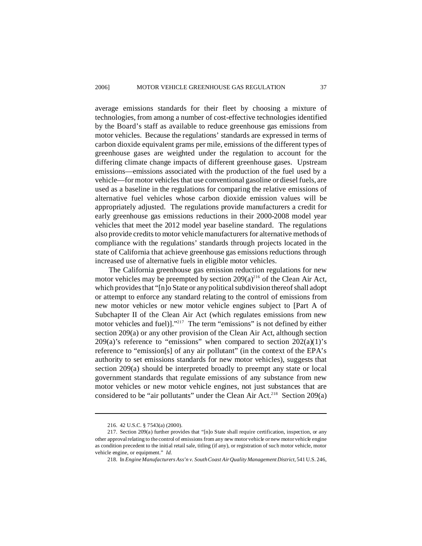average emissions standards for their fleet by choosing a mixture of technologies, from among a number of cost-effective technologies identified by the Board's staff as available to reduce greenhouse gas emissions from motor vehicles. Because the regulations' standards are expressed in terms of carbon dioxide equivalent grams per mile, emissions of the different types of greenhouse gases are weighted under the regulation to account for the differing climate change impacts of different greenhouse gases. Upstream emissions—emissions associated with the production of the fuel used by a vehicle—for motor vehicles that use conventional gasoline or diesel fuels, are used as a baseline in the regulations for comparing the relative emissions of alternative fuel vehicles whose carbon dioxide emission values will be appropriately adjusted. The regulations provide manufacturers a credit for early greenhouse gas emissions reductions in their 2000-2008 model year vehicles that meet the 2012 model year baseline standard. The regulations also provide credits to motor vehicle manufacturers for alternative methods of compliance with the regulations' standards through projects located in the state of California that achieve greenhouse gas emissions reductions through increased use of alternative fuels in eligible motor vehicles.

The California greenhouse gas emission reduction regulations for new motor vehicles may be preempted by section  $209(a)^{216}$  of the Clean Air Act, which provides that "[n]o State or any political subdivision thereof shall adopt or attempt to enforce any standard relating to the control of emissions from new motor vehicles or new motor vehicle engines subject to [Part A of Subchapter II of the Clean Air Act (which regulates emissions from new motor vehicles and fuel)]."<sup>217</sup> The term "emissions" is not defined by either section 209(a) or any other provision of the Clean Air Act, although section  $209(a)$ 's reference to "emissions" when compared to section  $202(a)(1)$ 's reference to "emission[s] of any air pollutant" (in the context of the EPA's authority to set emissions standards for new motor vehicles), suggests that section 209(a) should be interpreted broadly to preempt any state or local government standards that regulate emissions of any substance from new motor vehicles or new motor vehicle engines, not just substances that are considered to be "air pollutants" under the Clean Air Act.<sup>218</sup> Section 209(a)

<sup>216.</sup> 42 U.S.C. § 7543(a) (2000).

<sup>217.</sup> Section 209(a) further provides that "[n]o State shall require certification, inspection, or any other approval relating to the control of emissions from any new motor vehicle or new motor vehicle engine as condition precedent to the initial retail sale, titling (if any), or registration of such motor vehicle, motor vehicle engine, or equipment." *Id.*

<sup>218.</sup> In *Engine Manufacturers Ass'n v. South Coast Air Quality Management District*, 541 U.S. 246,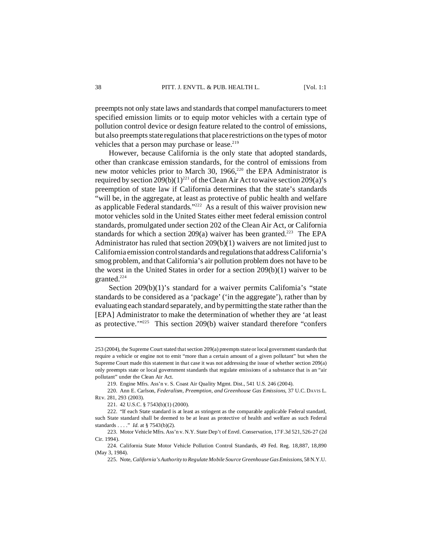preempts not only state laws and standards that compel manufacturers to meet specified emission limits or to equip motor vehicles with a certain type of pollution control device or design feature related to the control of emissions, but also preempts state regulations that place restrictions on the types of motor vehicles that a person may purchase or lease.<sup>219</sup>

However, because California is the only state that adopted standards, other than crankcase emission standards, for the control of emissions from new motor vehicles prior to March 30, 1966,<sup>220</sup> the EPA Administrator is required by section  $209(b)(1)^{221}$  of the Clean Air Act to waive section  $209(a)$ 's preemption of state law if California determines that the state's standards "will be, in the aggregate, at least as protective of public health and welfare as applicable Federal standards."<sup>222</sup> As a result of this waiver provision new motor vehicles sold in the United States either meet federal emission control standards, promulgated under section 202 of the Clean Air Act, or California standards for which a section  $209(a)$  waiver has been granted.<sup>223</sup> The EPA Administrator has ruled that section 209(b)(1) waivers are not limited just to California emission control standards and regulationsthat address California's smog problem, and that California's air pollution problem does not have to be the worst in the United States in order for a section 209(b)(1) waiver to be granted.<sup>224</sup>

Section 209(b)(1)'s standard for a waiver permits California's "state standards to be considered as a 'package' ('in the aggregate'), rather than by evaluating each standard separately, and by permitting the state rather than the [EPA] Administrator to make the determination of whether they are 'at least as protective.<sup>'"225</sup> This section 209(b) waiver standard therefore "confers"

<sup>253 (2004),</sup> the Supreme Court stated that section 209(a) preempts state or local government standards that require a vehicle or engine not to emit "more than a certain amount of a given pollutant" but when the Supreme Court made this statement in that case it was not addressing the issue of whether section 209(a) only preempts state or local government standards that regulate emissions of a substance that is an "air pollutant" under the Clean Air Act.

<sup>219.</sup> Engine Mfrs. Ass'n v. S. Coast Air Quality Mgmt. Dist., 541 U.S. 246 (2004).

<sup>220.</sup> Ann E. Carlson, *Federalism, Preemption, and Greenhouse Gas Emissions*, 37 U.C. DAVIS L. REv. 281, 293 (2003).

<sup>221.</sup> 42 U.S.C. § 7543(b)(1) (2000).

<sup>222.</sup> "If each State standard is at least as stringent as the comparable applicable Federal standard, such State standard shall be deemed to be at least as protective of health and welfare as such Federal standards . . . ." *Id.* at § 7543(b)(2).

<sup>223.</sup> Motor Vehicle Mfrs. Ass'n v. N.Y. State Dep't of Envtl. Conservation, 17 F.3d 521, 526-27 (2d Cir. 1994).

<sup>224.</sup> California State Motor Vehicle Pollution Control Standards, 49 Fed. Reg. 18,887, 18,890 (May 3, 1984).

<sup>225.</sup> Note, *California's Authority to Regulate Mobile Source Greenhouse GasEmissions*, 58 N.Y.U.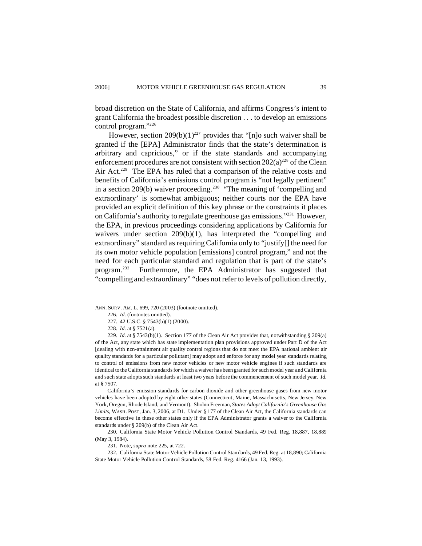broad discretion on the State of California, and affirms Congress's intent to grant California the broadest possible discretion . . . to develop an emissions control program."<sup>226</sup>

However, section  $209(b)(1)^{227}$  provides that "[n]o such waiver shall be granted if the [EPA] Administrator finds that the state's determination is arbitrary and capricious," or if the state standards and accompanying enforcement procedures are not consistent with section  $202(a)^{228}$  of the Clean Air Act.<sup>229</sup> The EPA has ruled that a comparison of the relative costs and benefits of California's emissions control program is "not legally pertinent" in a section 209(b) waiver proceeding.<sup>230</sup> "The meaning of 'compelling and extraordinary' is somewhat ambiguous; neither courts nor the EPA have provided an explicit definition of this key phrase or the constraints it places on California's authority to regulate greenhouse gas emissions."<sup>231</sup> However, the EPA, in previous proceedings considering applications by California for waivers under section 209(b)(1), has interpreted the "compelling and extraordinary" standard as requiring California only to "justify[] the need for its own motor vehicle population [emissions] control program," and not the need for each particular standard and regulation that is part of the state's program.<sup>232</sup> Furthermore, the EPA Administrator has suggested that "compelling and extraordinary" "does not refer to levels of pollution directly,

California's emission standards for carbon dioxide and other greenhouse gases from new motor vehicles have been adopted by eight other states (Connecticut, Maine, Massachusetts, New Jersey, New York, Oregon, Rhode Island, and Vermont). Sholnn Freeman, *States Adopt California's Greenhouse Gas* Limits, WASH. POST, Jan. 3, 2006, at D1. Under § 177 of the Clean Air Act, the California standards can become effective in these other states only if the EPA Administrator grants a waiver to the California standards under § 209(b) of the Clean Air Act.

230. California State Motor Vehicle Pollution Control Standards, 49 Fed. Reg. 18,887, 18,889 (May 3, 1984).

231. Note, *supra* note 225, at 722.

ANN. SURV. AM. L. 699, 720 (2003) (footnote omitted).

<sup>226.</sup> *Id.* (footnotes omitted).

<sup>227.</sup> 42 U.S.C. § 7543(b)(1) (2000).

<sup>228.</sup> *Id.* at § 7521(a).

<sup>229.</sup> *Id.* at § 7543(b)(1). Section 177 of the Clean Air Act provides that, notwithstanding § 209(a) of the Act, any state which has state implementation plan provisions approved under Part D of the Act [dealing with non-attainment air quality control regions that do not meet the EPA national ambient air quality standards for a particular pollutant] may adopt and enforce for any model year standards relating to control of emissions from new motor vehicles or new motor vehicle engines if such standards are identical to the California standards for which a waiver has been granted for such model year and California and such state adopts such standards at least two years before the commencement of such model year. *Id.* at § 7507.

<sup>232.</sup> California State Motor Vehicle Pollution Control Standards, 49 Fed. Reg. at 18,890; California State Motor Vehicle Pollution Control Standards, 58 Fed. Reg. 4166 (Jan. 13, 1993).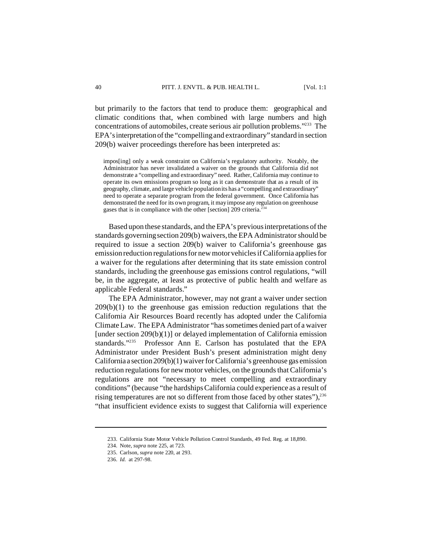but primarily to the factors that tend to produce them: geographical and climatic conditions that, when combined with large numbers and high concentrations of automobiles, create serious air pollution problems."<sup>233</sup> The EPA's interpretation of the "compelling and extraordinary" standard in section 209(b) waiver proceedings therefore has been interpreted as:

impos[ing] only a weak constraint on California's regulatory authority. Notably, the Administrator has never invalidated a waiver on the grounds that California did not demonstrate a "compelling and extraordinary" need. Rather, California may continue to operate its own emissions program so long as it can demonstrate that as a result of its geography, climate, and large vehicle population its has a "compelling and extraordinary" need to operate a separate program from the federal government. Once California has demonstrated the need for its own program, it may impose any regulation on greenhouse gases that is in compliance with the other [section] 209 criteria.<sup>3</sup>

Based upon these standards, and the EPA's previous interpretations of the standards governing section 209(b) waivers, the EPA Administrator should be required to issue a section 209(b) waiver to California's greenhouse gas emission reduction regulations for new motor vehicles if California applies for a waiver for the regulations after determining that its state emission control standards, including the greenhouse gas emissions control regulations, "will be, in the aggregate, at least as protective of public health and welfare as applicable Federal standards."

The EPA Administrator, however, may not grant a waiver under section  $209(b)(1)$  to the greenhouse gas emission reduction regulations that the California Air Resources Board recently has adopted under the California Climate Law. The EPA Administrator "has sometimes denied part of a waiver [under section  $209(b)(1)$ ] or delayed implementation of California emission standards."<sup>235</sup> Professor Ann E. Carlson has postulated that the EPA Administrator under President Bush's present administration might deny California a section 209(b)(1) waiver for California's greenhouse gas emission reduction regulations for new motor vehicles, on the grounds that California's regulations are not "necessary to meet compelling and extraordinary conditions" (because "the hardships California could experience as a result of rising temperatures are not so different from those faced by other states"), $236$ "that insufficient evidence exists to suggest that California will experience

<sup>233.</sup> California State Motor Vehicle Pollution Control Standards, 49 Fed. Reg. at 18,890.

<sup>234.</sup> Note, *supra* note 225, at 723.

<sup>235.</sup> Carlson, *supra* note 220, at 293.

<sup>236.</sup> *Id.* at 297-98.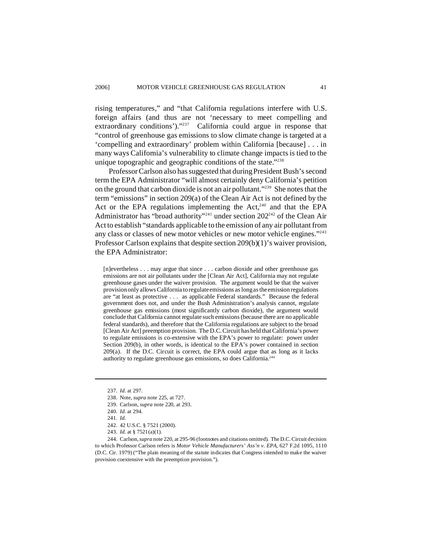rising temperatures," and "that California regulations interfere with U.S. foreign affairs (and thus are not 'necessary to meet compelling and extraordinary conditions')."<sup>237</sup> California could argue in response that "control of greenhouse gas emissions to slow climate change is targeted at a 'compelling and extraordinary' problem within California [because] . . . in many ways California's vulnerability to climate change impacts is tied to the unique topographic and geographic conditions of the state."<sup>238</sup>

Professor Carlson also has suggested that during President Bush's second term the EPA Administrator "will almost certainly deny California's petition on the ground that carbon dioxide is not an air pollutant."<sup>239</sup> She notes that the term "emissions" in section 209(a) of the Clean Air Act is not defined by the Act or the EPA regulations implementing the  $Act<sub>240</sub>$  and that the EPA Administrator has "broad authority"<sup>241</sup> under section  $202^{242}$  of the Clean Air Act to establish "standards applicable to the emission of any air pollutant from any class or classes of new motor vehicles or new motor vehicle engines."<sup>243</sup> Professor Carlson explains that despite section 209(b)(1)'s waiver provision, the EPA Administrator:

[n]evertheless . . . may argue that since . . . carbon dioxide and other greenhouse gas emissions are not air pollutants under the [Clean Air Act], California may not regulate greenhouse gases under the waiver provision. The argument would be that the waiver provision only allows California to regulate emissions as long as the emission regulations are "at least as protective . . . as applicable Federal standards." Because the federal government does not, and under the Bush Administration's analysis cannot, regulate greenhouse gas emissions (most significantly carbon dioxide), the argument would conclude that California cannot regulate such emissions (because there are no applicable federal standards), and therefore that the California regulations are subject to the broad [Clean Air Act] preemption provision. The D.C. Circuit has held that California's power to regulate emissions is co-extensive with the EPA's power to regulate: power under Section 209(b), in other words, is identical to the EPA's power contained in section 209(a). If the D.C. Circuit is correct, the EPA could argue that as long as it lacks authority to regulate greenhouse gas emissions, so does California.244

<sup>237.</sup> *Id.* at 297.

<sup>238.</sup> Note, *supra* note 225, at 727.

<sup>239.</sup> Carlson, *supra* note 220, at 293.

<sup>240.</sup> *Id.* at 294.

<sup>241.</sup> *Id.*

<sup>242.</sup> 42 U.S.C. § 7521 (2000).

<sup>243.</sup> *Id.* at § 7521(a)(1).

<sup>244.</sup> Carlson,*supra* note 220, at 295-96 (footnotes and citations omitted). The D.C. Circuit decision to which Professor Carlson refers is *Motor Vehicle Manufacturers' Ass'n v. EPA*, 627 F.2d 1095, 1110 (D.C. Cir. 1979) ("The plain meaning of the statute indicates that Congress intended to make the waiver provision coextensive with the preemption provision.").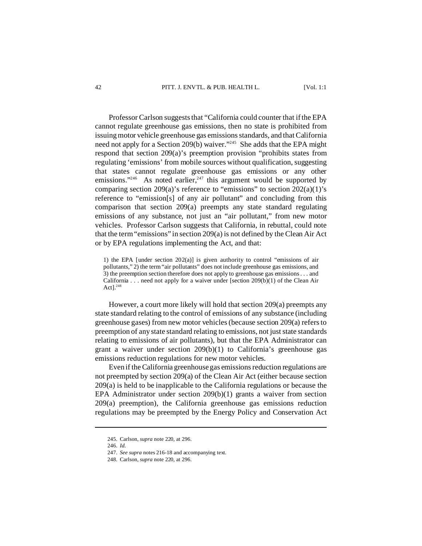#### 42 PITT. J. ENVTL. & PUB. HEALTH L. [Vol. 1:1]

Professor Carlson suggests that "California could counter that if the EPA cannot regulate greenhouse gas emissions, then no state is prohibited from issuing motor vehicle greenhouse gas emissions standards, and that California need not apply for a Section 209(b) waiver."<sup>245</sup> She adds that the EPA might respond that section 209(a)'s preemption provision "prohibits states from regulating 'emissions' from mobile sources without qualification, suggesting that states cannot regulate greenhouse gas emissions or any other emissions."<sup>246</sup> As noted earlier,<sup>247</sup> this argument would be supported by comparing section 209(a)'s reference to "emissions" to section  $202(a)(1)$ 's reference to "emission[s] of any air pollutant" and concluding from this comparison that section 209(a) preempts any state standard regulating emissions of any substance, not just an "air pollutant," from new motor vehicles. Professor Carlson suggests that California, in rebuttal, could note that the term "emissions" in section 209(a) is not defined by the Clean Air Act or by EPA regulations implementing the Act, and that:

1) the EPA [under section  $202(a)$ ] is given authority to control "emissions of air pollutants," 2) the term "air pollutants" does not include greenhouse gas emissions, and 3) the preemption section therefore does not apply to greenhouse gas emissions . . . and California . . . need not apply for a waiver under [section 209(b)(1) of the Clean Air Act $]$ <sup>248</sup>

However, a court more likely will hold that section 209(a) preempts any state standard relating to the control of emissions of any substance (including greenhouse gases) from new motor vehicles (because section 209(a) refers to preemption of any state standard relating to emissions, not just state standards relating to emissions of air pollutants), but that the EPA Administrator can grant a waiver under section 209(b)(1) to California's greenhouse gas emissions reduction regulations for new motor vehicles.

Even if the California greenhouse gas emissions reduction regulations are not preempted by section 209(a) of the Clean Air Act (either because section 209(a) is held to be inapplicable to the California regulations or because the EPA Administrator under section 209(b)(1) grants a waiver from section 209(a) preemption), the California greenhouse gas emissions reduction regulations may be preempted by the Energy Policy and Conservation Act

<sup>245.</sup> Carlson, *supra* note 220, at 296.

<sup>246.</sup> *Id.*

<sup>247.</sup> *See supra* notes 216-18 and accompanying text.

<sup>248.</sup> Carlson, *supra* note 220, at 296.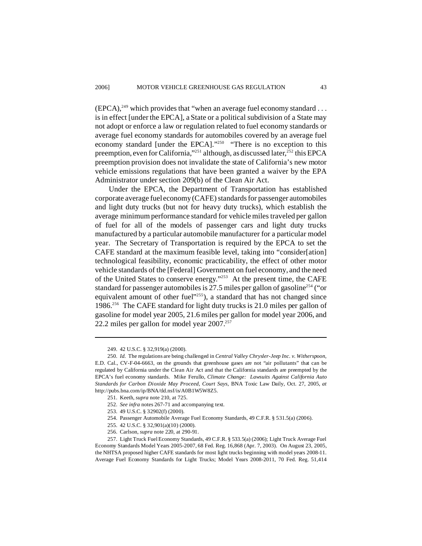$(EPCA)$ ,<sup>249</sup> which provides that "when an average fuel economy standard . . . is in effect [under the EPCA], a State or a political subdivision of a State may not adopt or enforce a law or regulation related to fuel economy standards or average fuel economy standards for automobiles covered by an average fuel economy standard [under the EPCA]."<sup>250</sup> "There is no exception to this preemption, even for California,"<sup>251</sup> although, as discussed later,<sup>252</sup> this EPCA preemption provision does not invalidate the state of California's new motor vehicle emissions regulations that have been granted a waiver by the EPA Administrator under section 209(b) of the Clean Air Act.

Under the EPCA, the Department of Transportation has established corporate average fuel economy (CAFE) standards for passenger automobiles and light duty trucks (but not for heavy duty trucks), which establish the average minimum performance standard for vehicle miles traveled per gallon of fuel for all of the models of passenger cars and light duty trucks manufactured by a particular automobile manufacturer for a particular model year. The Secretary of Transportation is required by the EPCA to set the CAFE standard at the maximum feasible level, taking into "consider[ation] technological feasibility, economic practicability, the effect of other motor vehicle standards of the [Federal] Government on fuel economy, and the need of the United States to conserve energy."<sup>253</sup> At the present time, the CAFE standard for passenger automobiles is 27.5 miles per gallon of gasoline<sup>254</sup> ("or equivalent amount of other fuel"<sup>255</sup>), a standard that has not changed since 1986.<sup>256</sup> The CAFE standard for light duty trucks is 21.0 miles per gallon of gasoline for model year 2005, 21.6 miles per gallon for model year 2006, and 22.2 miles per gallon for model year 2007.<sup>257</sup>

- 254. Passenger Automobile Average Fuel Economy Standards, 49 C.F.R. § 531.5(a) (2006).
- 255. 42 U.S.C. § 32,901(a)(10) (2000).
- 256. Carlson, *supra* note 220, at 290-91.

<sup>249.</sup> 42 U.S.C. § 32,919(a) (2000).

<sup>250.</sup> *Id.* The regulations are being challenged in *Central Valley Chrysler-Jeep Inc. v. Witherspoon*, E.D. Cal., CV-F-04-6663, on the grounds that greenhouse gases are not "air pollutants" that can be regulated by California under the Clean Air Act and that the California standards are preempted by the EPCA's fuel economy standards. Mike Ferullo, *Climate Change: Lawsuits Against California Auto Standards for Carbon Dioxide May Proceed, Court Says*, BNA Toxic Law Daily, Oct. 27, 2005, *at* http://pubs.bna.com/ip/BNA/tld.nsf/is/A0B1W5W8Z5.

<sup>251.</sup> Keeth, *supra* note 210, at 725.

<sup>252.</sup> *See infra* notes 267-71 and accompanying text.

<sup>253.</sup> 49 U.S.C. § 32902(f) (2000).

<sup>257.</sup> Light Truck Fuel Economy Standards, 49 C.F.R. § 533.5(a) (2006); Light Truck Average Fuel Economy Standards Model Years 2005-2007, 68 Fed. Reg. 16,868 (Apr. 7, 2003). On August 23, 2005, the NHTSA proposed higher CAFE standards for most light trucks beginning with model years 2008-11. Average Fuel Economy Standards for Light Trucks; Model Years 2008-2011, 70 Fed. Reg. 51,414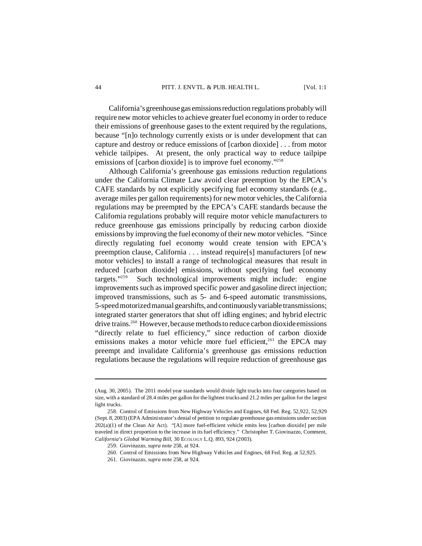California's greenhouse gas emissions reduction regulations probably will require new motor vehicles to achieve greater fuel economy in order to reduce their emissions of greenhouse gases to the extent required by the regulations, because "[n]o technology currently exists or is under development that can capture and destroy or reduce emissions of [carbon dioxide] . . . from motor vehicle tailpipes. At present, the only practical way to reduce tailpipe emissions of [carbon dioxide] is to improve fuel economy."<sup>258</sup>

Although California's greenhouse gas emissions reduction regulations under the California Climate Law avoid clear preemption by the EPCA's CAFE standards by not explicitly specifying fuel economy standards (e.g., average miles per gallon requirements) for new motor vehicles, the California regulations may be preempted by the EPCA's CAFE standards because the California regulations probably will require motor vehicle manufacturers to reduce greenhouse gas emissions principally by reducing carbon dioxide emissions by improving the fuel economy of their new motor vehicles. "Since directly regulating fuel economy would create tension with EPCA's preemption clause, California . . . instead require[s] manufacturers [of new motor vehicles] to install a range of technological measures that result in reduced [carbon dioxide] emissions, without specifying fuel economy targets."<sup>259</sup> Such technological improvements might include: engine improvements such as improved specific power and gasoline direct injection; improved transmissions, such as 5- and 6-speed automatic transmissions, 5-speed motorized manual gearshifts, and continuouslyvariable transmissions; integrated starter generators that shut off idling engines; and hybrid electric drive trains.<sup>260</sup> However, because methods to reduce carbon dioxide emissions "directly relate to fuel efficiency," since reduction of carbon dioxide emissions makes a motor vehicle more fuel efficient,<sup>261</sup> the EPCA may preempt and invalidate California's greenhouse gas emissions reduction regulations because the regulations will require reduction of greenhouse gas

<sup>(</sup>Aug. 30, 2005).The 2011 model year standards would divide light trucks into four categories based on size, with a standard of 28.4 miles per gallon for the lightest trucks and 21.2 miles per gallon for the largest light trucks.

<sup>258.</sup> Control of Emissions from New Highway Vehicles and Engines, 68 Fed. Reg. 52,922, 52,929 (Sept. 8, 2003) (EPA Administrator's denial of petition to regulate greenhouse gas emissions under section 202(a)(1) of the Clean Air Act). "[A] more fuel-efficient vehicle emits less [carbon dioxide] per mile traveled in direct proportion to the increase in its fuel efficiency." Christopher T. Giovinazzo, Comment, *California's Global Warming Bill*, 30 ECOLOGY L.Q. 893, 924 (2003).

<sup>259.</sup> Giovinazzo, *supra* note 258, at 924.

<sup>260.</sup> Control of Emissions from New Highway Vehicles and Engines, 68 Fed. Reg. at 52,925.

<sup>261.</sup> Giovinazzo, *supra* note 258, at 924.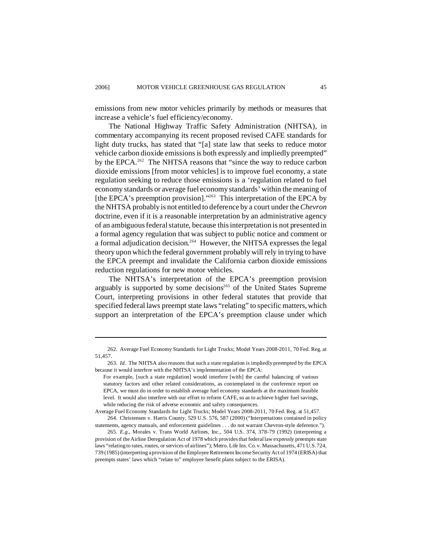emissions from new motor vehicles primarily by methods or measures that increase a vehicle's fuel efficiency/economy.

The National Highway Traffic Safety Administration (NHTSA), in commentary accompanying its recent proposed revised CAFE standards for light duty trucks, has stated that "[a] state law that seeks to reduce motor vehicle carbon dioxide emissions is both expressly and impliedly preempted" by the EPCA.<sup>262</sup> The NHTSA reasons that "since the way to reduce carbon dioxide emissions [from motor vehicles] is to improve fuel economy, a state regulation seeking to reduce those emissions is a 'regulation related to fuel economy standards or average fuel economy standards' within the meaning of [the EPCA's preemption provision]."<sup>263</sup> This interpretation of the EPCA by the NHTSA probably is not entitled to deference by a court under the *Chevron* doctrine, even if it is a reasonable interpretation by an administrative agency of an ambiguous federal statute, because this interpretation is not presented in a formal agency regulation that was subject to public notice and comment or a formal adjudication decision.<sup>264</sup> However, the NHTSA expresses the legal theory upon which the federal government probably will rely in trying to have the EPCA preempt and invalidate the California carbon dioxide emissions reduction regulations for new motor vehicles.

The NHTSA's interpretation of the EPCA's preemption provision arguably is supported by some decisions<sup>265</sup> of the United States Supreme Court, interpreting provisions in other federal statutes that provide that specified federal laws preempt state laws "relating" to specific matters, which support an interpretation of the EPCA's preemption clause under which

<sup>262.</sup> Average Fuel Economy Standards for Light Trucks; Model Years 2008-2011, 70 Fed. Reg. at 51,457.

<sup>263.</sup> *Id.* The NHTSA also reasons that such a state regulation is impliedly preempted by the EPCA because it would interfere with the NHTSA's implementation of the EPCA:

For example, [such a state regulation] would interfere [with] the careful balancing of various statutory factors and other related considerations, as contemplated in the conference report on EPCA, we must do in order to establish average fuel economy standards at the maximum feasible level. It would also interfere with our effort to reform CAFE, so as to achieve higher fuel savings, while reducing the risk of adverse economic and safety consequences.

Average Fuel Economy Standards for Light Trucks; Model Years 2008-2011, 70 Fed. Reg. at 51,457. 264. Christensen v. Harris County, 529 U.S. 576, 587 (2000) ("Interpretations contained in policy

statements, agency manuals, and enforcement guidelines . . . do not warrant Chevron-style deference."). 265. *E.g.*, Morales v. Trans World Airlines, Inc., 504 U.S. 374, 378-79 (1992) (interpreting a provision of the Airline Deregulation Act of 1978 which provides that federal law expressly preempts state laws "relating to rates, routes, or services of airlines"); Metro. Life Ins. Co. v. Massachusetts, 471 U.S. 724, 739 (1985) (interpreting a provision of the Employee Retirement Income Security Act of 1974 (ERISA) that preempts states' laws which "relate to" employee benefit plans subject to the ERISA).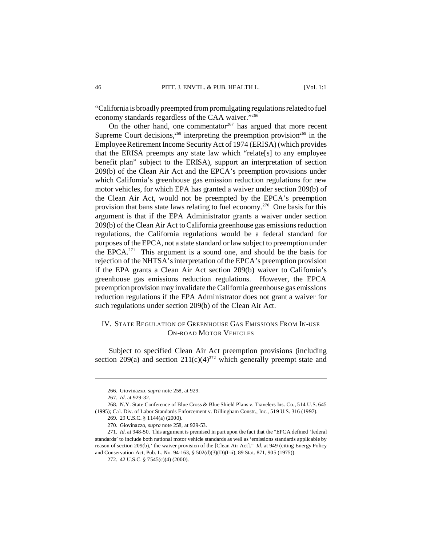"California is broadly preempted from promulgating regulations related to fuel economy standards regardless of the CAA waiver."<sup>266</sup>

On the other hand, one commentator  $267$  has argued that more recent Supreme Court decisions,<sup>268</sup> interpreting the preemption provision<sup>269</sup> in the Employee Retirement Income Security Act of 1974 (ERISA) (which provides that the ERISA preempts any state law which "relate[s] to any employee benefit plan" subject to the ERISA), support an interpretation of section 209(b) of the Clean Air Act and the EPCA's preemption provisions under which California's greenhouse gas emission reduction regulations for new motor vehicles, for which EPA has granted a waiver under section 209(b) of the Clean Air Act, would not be preempted by the EPCA's preemption provision that bans state laws relating to fuel economy.<sup>270</sup> One basis for this argument is that if the EPA Administrator grants a waiver under section 209(b) of the Clean Air Act to California greenhouse gas emissions reduction regulations, the California regulations would be a federal standard for purposes of the EPCA, not a state standard or law subject to preemption under the EPCA.<sup>271</sup> This argument is a sound one, and should be the basis for rejection of the NHTSA's interpretation of the EPCA's preemption provision if the EPA grants a Clean Air Act section 209(b) waiver to California's greenhouse gas emissions reduction regulations. However, the EPCA preemption provision may invalidate the California greenhouse gas emissions reduction regulations if the EPA Administrator does not grant a waiver for such regulations under section 209(b) of the Clean Air Act.

## IV. STATE REGULATION OF GREENHOUSE GAS EMISSIONS FROM IN-USE ON-ROAD MOTOR VEHICLES

Subject to specified Clean Air Act preemption provisions (including section 209(a) and section  $211(c)(4)^{272}$  which generally preempt state and

<sup>266.</sup> Giovinazzo, *supra* note 258, at 929.

<sup>267.</sup> *Id.* at 929-32.

<sup>268.</sup> N.Y. State Conference of Blue Cross & Blue Shield Plans v. Travelers Ins. Co., 514 U.S. 645 (1995); Cal. Div. of Labor Standards Enforcement v. Dillingham Constr., Inc., 519 U.S. 316 (1997).

<sup>269.</sup> 29 U.S.C. § 1144(a) (2000).

<sup>270.</sup> Giovinazzo*, supra* note 258, at 929-53.

<sup>271.</sup> *Id.* at 948-50. This argument is premised in part upon the fact that the "EPCA defined 'federal standards' to include both national motor vehicle standards as well as 'emissions standards applicable by reason of section 209(b),' the waiver provision of the [Clean Air Act]." *Id.* at 949 (citing Energy Policy and Conservation Act, Pub. L. No. 94-163, § 502(d)(3)(D)(I-ii), 89 Stat. 871, 905 (1975)).

<sup>272.</sup> 42 U.S.C. § 7545(c)(4) (2000).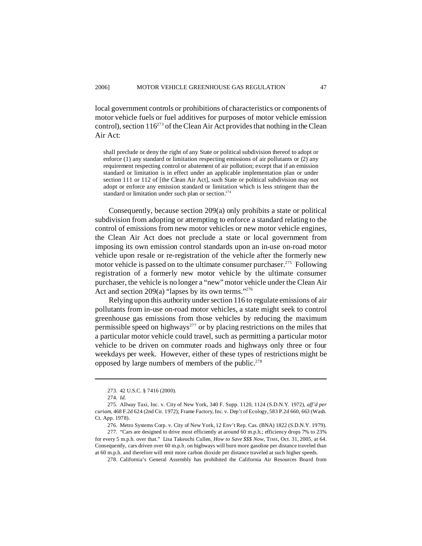local government controls or prohibitions of characteristics or components of motor vehicle fuels or fuel additives for purposes of motor vehicle emission control), section  $116^{273}$  of the Clean Air Act provides that nothing in the Clean Air Act:

shall preclude or deny the right of any State or political subdivision thereof to adopt or enforce (1) any standard or limitation respecting emissions of air pollutants or (2) any requirement respecting control or abatement of air pollution; except that if an emission standard or limitation is in effect under an applicable implementation plan or under section 111 or 112 of [the Clean Air Act], such State or political subdivision may not adopt or enforce any emission standard or limitation which is less stringent than the standard or limitation under such plan or section.<sup>274</sup>

Consequently, because section 209(a) only prohibits a state or political subdivision from adopting or attempting to enforce a standard relating to the control of emissions from new motor vehicles or new motor vehicle engines, the Clean Air Act does not preclude a state or local government from imposing its own emission control standards upon an in-use on-road motor vehicle upon resale or re-registration of the vehicle after the formerly new motor vehicle is passed on to the ultimate consumer purchaser.<sup>275</sup> Following registration of a formerly new motor vehicle by the ultimate consumer purchaser, the vehicle is no longer a "new" motor vehicle under the Clean Air Act and section 209(a) "lapses by its own terms."<sup>276</sup>

Relying upon this authority under section 116 to regulate emissions of air pollutants from in-use on-road motor vehicles, a state might seek to control greenhouse gas emissions from those vehicles by reducing the maximum permissible speed on highways<sup>277</sup> or by placing restrictions on the miles that a particular motor vehicle could travel, such as permitting a particular motor vehicle to be driven on commuter roads and highways only three or four weekdays per week. However, either of these types of restrictions might be opposed by large numbers of members of the public.<sup>278</sup>

<sup>273.</sup> 42 U.S.C. § 7416 (2000).

<sup>274.</sup> *Id.*

<sup>275.</sup> Allway Taxi, Inc. v. City of New York, 340 F. Supp. 1120, 1124 (S.D.N.Y. 1972), *aff'd per curiam*, 468 F.2d 624 (2nd Cir. 1972); Frame Factory, Inc. v. Dep't of Ecology, 583 P.2d 660, 663 (Wash. Ct. App. 1978).

<sup>276.</sup> Metro Systems Corp. v. City of New York, 12 Env't Rep. Cas. (BNA) 1822 (S.D.N.Y. 1979).

<sup>277.</sup> "Cars are designed to drive most efficiently at around 60 m.p.h.; efficiency drops 7% to 23% for every 5 m.p.h. over that." Lisa Takeuchi Cullen, *How to Save \$\$\$ Now*, TIME, Oct. 31, 2005, at 64. Consequently, cars driven over 60 m.p.h. on highways will burn more gasoline per distance traveled than at 60 m.p.h. and therefore will emit more carbon dioxide per distance traveled at such higher speeds.

<sup>278.</sup> California's General Assembly has prohibited the California Air Resources Board from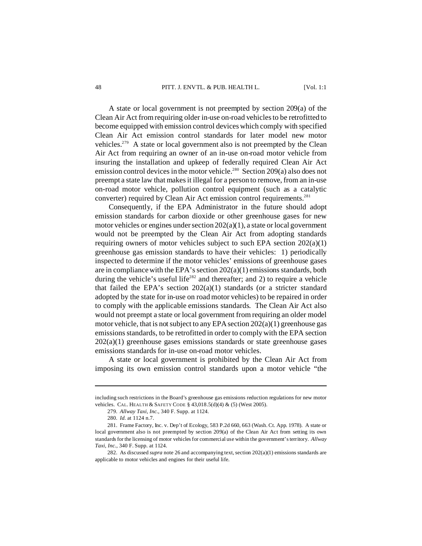#### 48 PITT. J. ENVTL. & PUB. HEALTH L. [Vol. 1:1]

A state or local government is not preempted by section 209(a) of the Clean Air Act from requiring older in-use on-road vehicles to be retrofitted to become equipped with emission control devices which comply with specified Clean Air Act emission control standards for later model new motor vehicles.<sup>279</sup> A state or local government also is not preempted by the Clean Air Act from requiring an owner of an in-use on-road motor vehicle from insuring the installation and upkeep of federally required Clean Air Act emission control devices in the motor vehicle.<sup>280</sup> Section 209(a) also does not preempt a state law that makes it illegal for a person to remove, from an in-use on-road motor vehicle, pollution control equipment (such as a catalytic converter) required by Clean Air Act emission control requirements.<sup>281</sup>

Consequently, if the EPA Administrator in the future should adopt emission standards for carbon dioxide or other greenhouse gases for new motor vehicles or engines under section 202(a)(1), a state or local government would not be preempted by the Clean Air Act from adopting standards requiring owners of motor vehicles subject to such EPA section  $202(a)(1)$ greenhouse gas emission standards to have their vehicles: 1) periodically inspected to determine if the motor vehicles' emissions of greenhouse gases are in compliance with the EPA's section  $202(a)(1)$  emissions standards, both during the vehicle's useful life<sup>282</sup> and thereafter; and 2) to require a vehicle that failed the EPA's section  $202(a)(1)$  standards (or a stricter standard adopted by the state for in-use on road motor vehicles) to be repaired in order to comply with the applicable emissions standards. The Clean Air Act also would not preempt a state or local government from requiring an older model motor vehicle, that is not subject to any EPA section  $202(a)(1)$  greenhouse gas emissions standards, to be retrofitted in order to comply with the EPA section  $202(a)(1)$  greenhouse gases emissions standards or state greenhouse gases emissions standards for in-use on-road motor vehicles.

A state or local government is prohibited by the Clean Air Act from imposing its own emission control standards upon a motor vehicle "the

including such restrictions in the Board's greenhouse gas emissions reduction regulations for new motor vehicles. CAL. HEALTH & SAFETY CODE § 43,018.5(d)(4) & (5) (West 2005).

<sup>279.</sup> *Allway Taxi, Inc.*, 340 F. Supp. at 1124.

<sup>280.</sup> *Id.* at 1124 n.7.

<sup>281.</sup> Frame Factory, Inc. v. Dep't of Ecology, 583 P.2d 660, 663 (Wash. Ct. App. 1978). A state or local government also is not preempted by section 209(a) of the Clean Air Act from setting its own standards for the licensing of motor vehicles for commercial use within the government's territory. *Allway Taxi, Inc.*, 340 F. Supp. at 1124.

<sup>282.</sup> As discussed *supra* note 26 and accompanying text, section 202(a)(1) emissions standards are applicable to motor vehicles and engines for their useful life.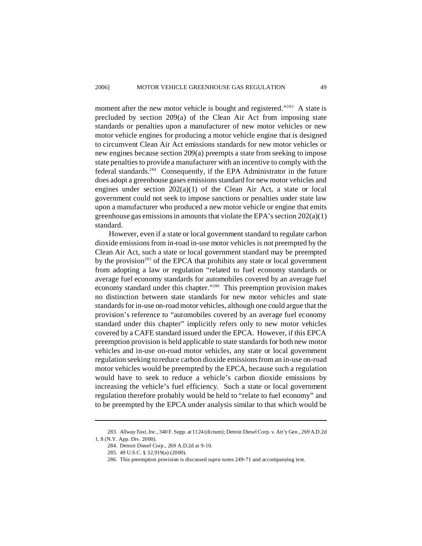moment after the new motor vehicle is bought and registered."<sup>283</sup> A state is precluded by section 209(a) of the Clean Air Act from imposing state standards or penalties upon a manufacturer of new motor vehicles or new motor vehicle engines for producing a motor vehicle engine that is designed to circumvent Clean Air Act emissions standards for new motor vehicles or new engines because section 209(a) preempts a state from seeking to impose state penalties to provide a manufacturer with an incentive to comply with the federal standards.<sup>284</sup> Consequently, if the EPA Administrator in the future does adopt a greenhouse gases emissions standard for new motor vehicles and engines under section  $202(a)(1)$  of the Clean Air Act, a state or local government could not seek to impose sanctions or penalties under state law upon a manufacturer who produced a new motor vehicle or engine that emits greenhouse gas emissions in amounts that violate the EPA's section 202(a)(1) standard.

However, even if a state or local government standard to regulate carbon dioxide emissions from in-road in-use motor vehicles is not preempted by the Clean Air Act, such a state or local government standard may be preempted by the provision<sup>285</sup> of the EPCA that prohibits any state or local government from adopting a law or regulation "related to fuel economy standards or average fuel economy standards for automobiles covered by an average fuel economy standard under this chapter."<sup>286</sup> This preemption provision makes no distinction between state standards for new motor vehicles and state standards for in-use on-road motor vehicles, although one could argue that the provision's reference to "automobiles covered by an average fuel economy standard under this chapter" implicitly refers only to new motor vehicles covered by a CAFE standard issued under the EPCA. However, if this EPCA preemption provision is held applicable to state standards for both new motor vehicles and in-use on-road motor vehicles, any state or local government regulation seeking to reduce carbon dioxide emissions from an in-use on-road motor vehicles would be preempted by the EPCA, because such a regulation would have to seek to reduce a vehicle's carbon dioxide emissions by increasing the vehicle's fuel efficiency. Such a state or local government regulation therefore probably would be held to "relate to fuel economy" and to be preempted by the EPCA under analysis similar to that which would be

<sup>283.</sup> *Allway Taxi, Inc.*, 340 F. Supp. at 1124 (dictum); Detroit Diesel Corp. v. Att'y Gen., 269 A.D.2d 1, 8 (N.Y. App. Div. 2000).

<sup>284.</sup> Detroit Diesel Corp., 269 A.D.2d at 9-10.

<sup>285.</sup> 49 U.S.C. § 32,919(a) (2000).

<sup>286.</sup> This preemption provision is discussed *supra* notes 249-71 and accompanying text.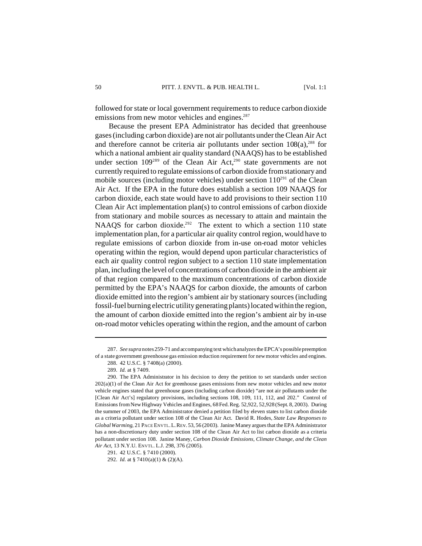followed for state or local government requirements to reduce carbon dioxide emissions from new motor vehicles and engines.<sup>287</sup>

Because the present EPA Administrator has decided that greenhouse gases (including carbon dioxide) are not air pollutants under the Clean Air Act and therefore cannot be criteria air pollutants under section  $108(a)$ ,<sup>288</sup> for which a national ambient air quality standard (NAAQS) has to be established under section  $109^{289}$  of the Clean Air Act,<sup>290</sup> state governments are not currently required to regulate emissions of carbon dioxide from stationary and mobile sources (including motor vehicles) under section  $110^{291}$  of the Clean Air Act. If the EPA in the future does establish a section 109 NAAQS for carbon dioxide, each state would have to add provisions to their section 110 Clean Air Act implementation plan(s) to control emissions of carbon dioxide from stationary and mobile sources as necessary to attain and maintain the NAAQS for carbon dioxide.<sup>292</sup> The extent to which a section 110 state implementation plan, for a particular air quality control region, would have to regulate emissions of carbon dioxide from in-use on-road motor vehicles operating within the region, would depend upon particular characteristics of each air quality control region subject to a section 110 state implementation plan, including the level of concentrations of carbon dioxide in the ambient air of that region compared to the maximum concentrations of carbon dioxide permitted by the EPA's NAAQS for carbon dioxide, the amounts of carbon dioxide emitted into the region's ambient air by stationary sources (including fossil-fuel burning electric utility generating plants) located within the region, the amount of carbon dioxide emitted into the region's ambient air by in-use on-road motor vehicles operating within the region, and the amount of carbon

287. *See supra* notes 259-71 and accompanying text which analyzes the EPCA's possible preemption of a state government greenhouse gas emission reduction requirement for new motor vehicles and engines.

<sup>288.</sup> 42 U.S.C. § 7408(a) (2000).

<sup>289.</sup> *Id.* at § 7409.

<sup>290.</sup> The EPA Administrator in his decision to deny the petition to set standards under section 202(a)(1) of the Clean Air Act for greenhouse gases emissions from new motor vehicles and new motor vehicle engines stated that greenhouse gases (including carbon dioxide) "are not air pollutants under the [Clean Air Act's] regulatory provisions, including sections 108, 109, 111, 112, and 202." Control of Emissions from New Highway Vehicles and Engines, 68 Fed. Reg. 52,922, 52,928 (Sept. 8, 2003). During the summer of 2003, the EPA Administrator denied a petition filed by eleven states to list carbon dioxide as a criteria pollutant under section 108 of the Clean Air Act. David R. Hodes, *State Law Responses to Global Warming*, 21 PACE ENVTL.L.REv. 53, 56 (2003). Janine Maney argues that the EPA Administrator has a non-discretionary duty under section 108 of the Clean Air Act to list carbon dioxide as a criteria pollutant under section 108. Janine Maney, *Carbon Dioxide Emissions, Climate Change, and the Clean Air Act*, 13 N.Y.U. ENVTL. L.J. 298, 376 (2005).

<sup>291.</sup> 42 U.S.C. § 7410 (2000).

<sup>292.</sup> *Id.* at § 7410(a)(1) & (2)(A).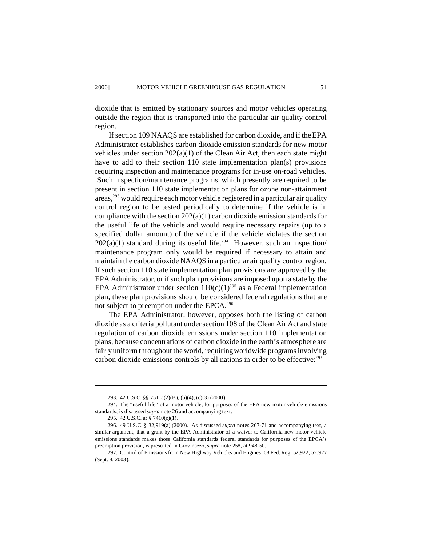dioxide that is emitted by stationary sources and motor vehicles operating outside the region that is transported into the particular air quality control region.

If section 109 NAAQS are established for carbon dioxide, and if the EPA Administrator establishes carbon dioxide emission standards for new motor vehicles under section  $202(a)(1)$  of the Clean Air Act, then each state might have to add to their section 110 state implementation plan(s) provisions requiring inspection and maintenance programs for in-use on-road vehicles. Such inspection/maintenance programs, which presently are required to be present in section 110 state implementation plans for ozone non-attainment areas,<sup>293</sup> would require each motor vehicle registered in a particular air quality control region to be tested periodically to determine if the vehicle is in compliance with the section  $202(a)(1)$  carbon dioxide emission standards for the useful life of the vehicle and would require necessary repairs (up to a specified dollar amount) of the vehicle if the vehicle violates the section  $202(a)(1)$  standard during its useful life.<sup>294</sup> However, such an inspection/ maintenance program only would be required if necessary to attain and maintain the carbon dioxide NAAQS in a particular air quality control region. If such section 110 state implementation plan provisions are approved by the EPA Administrator, or if such plan provisions are imposed upon a state by the EPA Administrator under section  $110(c)(1)^{295}$  as a Federal implementation plan, these plan provisions should be considered federal regulations that are not subject to preemption under the EPCA.<sup>296</sup>

The EPA Administrator, however, opposes both the listing of carbon dioxide as a criteria pollutant under section 108 of the Clean Air Act and state regulation of carbon dioxide emissions under section 110 implementation plans, because concentrations of carbon dioxide in the earth's atmosphere are fairly uniform throughout the world, requiring worldwide programs involving carbon dioxide emissions controls by all nations in order to be effective: $297$ 

<sup>293.</sup> 42 U.S.C. §§ 7511a(2)(B), (b)(4), (c)(3) (2000).

<sup>294.</sup> The "useful life" of a motor vehicle, for purposes of the EPA new motor vehicle emissions standards, is discussed *supra* note 26 and accompanying text.

<sup>295.</sup> 42 U.S.C. at § 7410(c)(1).

<sup>296.</sup> 49 U.S.C. § 32,919(a) (2000). As discussed *supra* notes 267-71 and accompanying text, a similar argument, that a grant by the EPA Administrator of a waiver to California new motor vehicle emissions standards makes those California standards federal standards for purposes of the EPCA's preemption provision, is presented in Giovinazzo, *supra* note 258, at 948-50.

<sup>297.</sup> Control of Emissions from New Highway Vehicles and Engines, 68 Fed. Reg. 52,922, 52,927 (Sept. 8, 2003).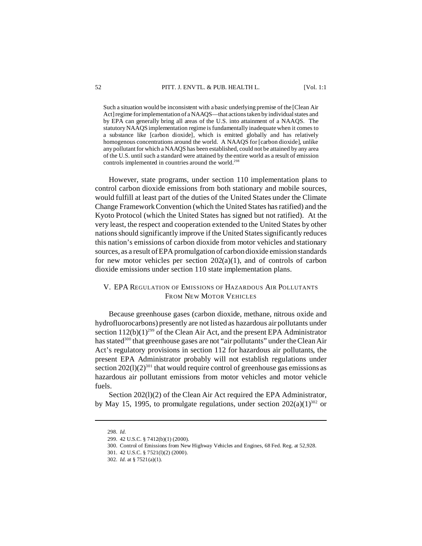Such a situation would be inconsistent with a basic underlying premise of the [Clean Air Act] regime for implementation of a NAAQS—that actions taken by individual states and by EPA can generally bring all areas of the U.S. into attainment of a NAAQS. The statutory NAAQS implementation regime is fundamentally inadequate when it comes to a substance like [carbon dioxide], which is emitted globally and has relatively homogenous concentrations around the world. A NAAQS for [carbon dioxide], unlike any pollutant for which a NAAQS has been established, could not be attained by any area of the U.S. until such a standard were attained by the entire world as a result of emission controls implemented in countries around the world.<sup>298</sup>

However, state programs, under section 110 implementation plans to control carbon dioxide emissions from both stationary and mobile sources, would fulfill at least part of the duties of the United States under the Climate Change Framework Convention (which the United States has ratified) and the Kyoto Protocol (which the United States has signed but not ratified). At the very least, the respect and cooperation extended to the United States by other nations should significantly improve if the United States significantly reduces this nation's emissions of carbon dioxide from motor vehicles and stationary sources, as a result of EPA promulgation of carbon dioxide emission standards for new motor vehicles per section  $202(a)(1)$ , and of controls of carbon dioxide emissions under section 110 state implementation plans.

### V. EPA REGULATION OF EMISSIONS OF HAZARDOUS AIR POLLUTANTS FROM NEW MOTOR VEHICLES

Because greenhouse gases (carbon dioxide, methane, nitrous oxide and hydrofluorocarbons) presently are not listed as hazardous air pollutants under section  $112(b)(1)^{299}$  of the Clean Air Act, and the present EPA Administrator has stated<sup>300</sup> that greenhouse gases are not "air pollutants" under the Clean Air Act's regulatory provisions in section 112 for hazardous air pollutants, the present EPA Administrator probably will not establish regulations under section  $202(1)(2)^{301}$  that would require control of greenhouse gas emissions as hazardous air pollutant emissions from motor vehicles and motor vehicle fuels.

Section 202(1)(2) of the Clean Air Act required the EPA Administrator, by May 15, 1995, to promulgate regulations, under section  $202(a)(1)^{302}$  or

<sup>298.</sup> *Id.*

<sup>299.</sup> 42 U.S.C. § 7412(b)(1) (2000).

<sup>300.</sup> Control of Emissions from New Highway Vehicles and Engines, 68 Fed. Reg. at 52,928.

<sup>301.</sup> 42 U.S.C. § 7521(l)(2) (2000).

<sup>302.</sup> *Id.* at § 7521(a)(1).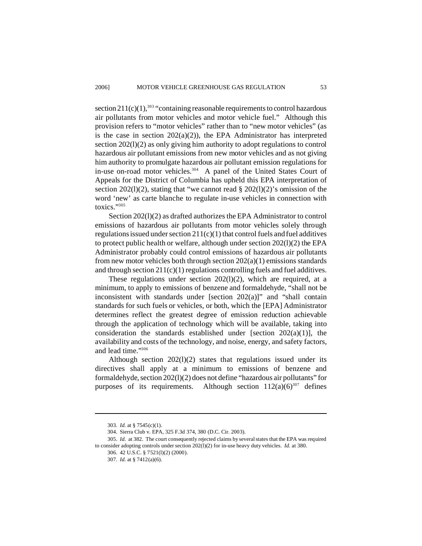section 211(c)(1),<sup>303</sup> "containing reasonable requirements to control hazardous air pollutants from motor vehicles and motor vehicle fuel." Although this provision refers to "motor vehicles" rather than to "new motor vehicles" (as is the case in section  $202(a)(2)$ ), the EPA Administrator has interpreted section 202(l)(2) as only giving him authority to adopt regulations to control hazardous air pollutant emissions from new motor vehicles and as not giving him authority to promulgate hazardous air pollutant emission regulations for in-use on-road motor vehicles.<sup>304</sup> A panel of the United States Court of Appeals for the District of Columbia has upheld this EPA interpretation of section 202(1)(2), stating that "we cannot read  $\S$  202(1)(2)'s omission of the word 'new' as carte blanche to regulate in-use vehicles in connection with toxics."<sup>305</sup>

Section 202(l)(2) as drafted authorizes the EPA Administrator to control emissions of hazardous air pollutants from motor vehicles solely through regulations issued under section  $211(c)(1)$  that control fuels and fuel additives to protect public health or welfare, although under section 202(l)(2) the EPA Administrator probably could control emissions of hazardous air pollutants from new motor vehicles both through section  $202(a)(1)$  emissions standards and through section  $211(c)(1)$  regulations controlling fuels and fuel additives.

These regulations under section 202(l)(2), which are required, at a minimum, to apply to emissions of benzene and formaldehyde, "shall not be inconsistent with standards under [section 202(a)]" and "shall contain standards for such fuels or vehicles, or both, which the [EPA] Administrator determines reflect the greatest degree of emission reduction achievable through the application of technology which will be available, taking into consideration the standards established under [section  $202(a)(1)$ ], the availability and costs of the technology, and noise, energy, and safety factors, and lead time."<sup>306</sup>

Although section  $202(1)(2)$  states that regulations issued under its directives shall apply at a minimum to emissions of benzene and formaldehyde, section 202(l)(2) does not define "hazardous air pollutants" for purposes of its requirements. Although section  $112(a)(6)^{307}$  defines

<sup>303.</sup> *Id.* at § 7545(c)(1).

<sup>304.</sup> Sierra Club v. EPA, 325 F.3d 374, 380 (D.C. Cir. 2003).

<sup>305.</sup> *Id.* at 382. The court consequently rejected claims by several states that the EPA was required to consider adopting controls under section 202(l)(2) for in-use heavy duty vehicles. *Id.* at 380.

<sup>306.</sup> 42 U.S.C. § 7521(l)(2) (2000).

<sup>307.</sup> *Id.* at § 7412(a)(6).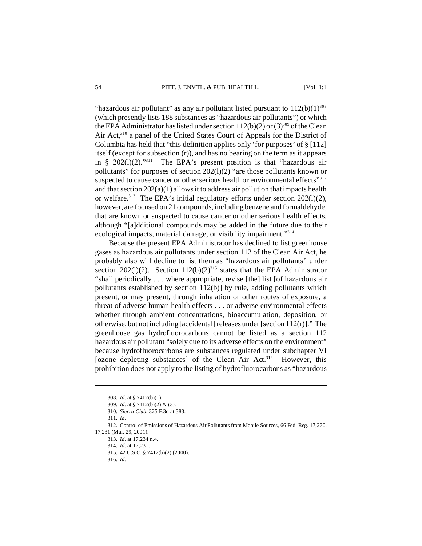"hazardous air pollutant" as any air pollutant listed pursuant to  $112(b)(1)^{308}$ (which presently lists 188 substances as "hazardous air pollutants") or which the EPA Administrator has listed under section  $112(b)(2)$  or  $(3)^{309}$  of the Clean Air Act,<sup>310</sup> a panel of the United States Court of Appeals for the District of Columbia has held that "this definition applies only 'for purposes' of § [112] itself (except for subsection (r)), and has no bearing on the term as it appears in § 202(1)(2)."<sup>311</sup> The EPA's present position is that "hazardous air pollutants" for purposes of section 202(l)(2) "are those pollutants known or suspected to cause cancer or other serious health or environmental effects<sup>"312</sup> and that section 202(a)(1) allows it to address air pollution that impacts health or welfare.<sup>313</sup> The EPA's initial regulatory efforts under section  $202(1)(2)$ , however, are focused on 21 compounds, including benzene and formaldehyde, that are known or suspected to cause cancer or other serious health effects, although "[a]dditional compounds may be added in the future due to their ecological impacts, material damage, or visibility impairment."<sup>314</sup>

Because the present EPA Administrator has declined to list greenhouse gases as hazardous air pollutants under section 112 of the Clean Air Act, he probably also will decline to list them as "hazardous air pollutants" under section 202(1)(2). Section 112(b)(2)<sup>315</sup> states that the EPA Administrator "shall periodically . . . where appropriate, revise [the] list [of hazardous air pollutants established by section 112(b)] by rule, adding pollutants which present, or may present, through inhalation or other routes of exposure, a threat of adverse human health effects . . . or adverse environmental effects whether through ambient concentrations, bioaccumulation, deposition, or otherwise, but not including [accidental] releases under [section 112(r)]." The greenhouse gas hydrofluorocarbons cannot be listed as a section 112 hazardous air pollutant "solely due to its adverse effects on the environment" because hydrofluorocarbons are substances regulated under subchapter VI [ozone depleting substances] of the Clean Air Act.<sup>316</sup> However, this prohibition does not apply to the listing of hydrofluorocarbons as "hazardous

<sup>308.</sup> *Id.* at § 7412(b)(1).

<sup>309.</sup> *Id.* at § 7412(b)(2) & (3).

<sup>310.</sup> *Sierra Club*, 325 F.3d at 383.

<sup>311.</sup> *Id.*

<sup>312.</sup> Control of Emissions of Hazardous Air Pollutants from Mobile Sources, 66 Fed. Reg. 17,230, 17,231 (Mar. 29, 2001).

<sup>313.</sup> *Id.* at 17,234 n.4.

<sup>314.</sup> *Id.* at 17,231.

<sup>315.</sup> 42 U.S.C. § 7412(b)(2) (2000).

<sup>316.</sup> *Id.*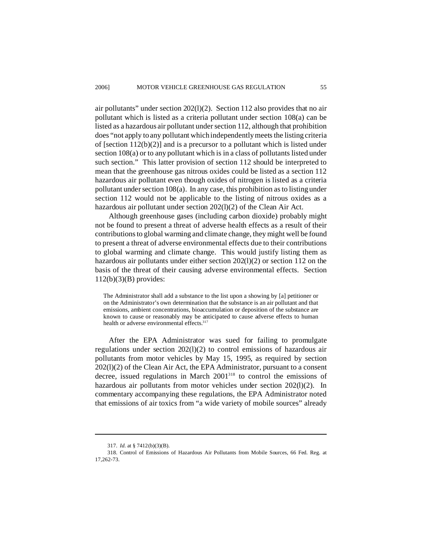air pollutants" under section 202(l)(2). Section 112 also provides that no air pollutant which is listed as a criteria pollutant under section 108(a) can be listed as a hazardous air pollutant under section 112, although that prohibition does "not apply to any pollutant which independently meets the listing criteria of [section  $112(b)(2)$ ] and is a precursor to a pollutant which is listed under section 108(a) or to any pollutant which is in a class of pollutants listed under such section." This latter provision of section 112 should be interpreted to mean that the greenhouse gas nitrous oxides could be listed as a section 112 hazardous air pollutant even though oxides of nitrogen is listed as a criteria pollutant under section 108(a). In any case, this prohibition as to listing under section 112 would not be applicable to the listing of nitrous oxides as a hazardous air pollutant under section 202(l)(2) of the Clean Air Act.

Although greenhouse gases (including carbon dioxide) probably might not be found to present a threat of adverse health effects as a result of their contributions to global warming and climate change, they might well be found to present a threat of adverse environmental effects due to their contributions to global warming and climate change. This would justify listing them as hazardous air pollutants under either section 202(l)(2) or section 112 on the basis of the threat of their causing adverse environmental effects. Section 112(b)(3)(B) provides:

The Administrator shall add a substance to the list upon a showing by [a] petitioner or on the Administrator's own determination that the substance is an air pollutant and that emissions, ambient concentrations, bioaccumulation or deposition of the substance are known to cause or reasonably may be anticipated to cause adverse effects to human health or adverse environmental effects.<sup>317</sup>

After the EPA Administrator was sued for failing to promulgate regulations under section 202(l)(2) to control emissions of hazardous air pollutants from motor vehicles by May 15, 1995, as required by section 202(l)(2) of the Clean Air Act, the EPA Administrator, pursuant to a consent decree, issued regulations in March  $2001^{318}$  to control the emissions of hazardous air pollutants from motor vehicles under section 202(l)(2). In commentary accompanying these regulations, the EPA Administrator noted that emissions of air toxics from "a wide variety of mobile sources" already

<sup>317.</sup> *Id.* at § 7412(b)(3)(B).

<sup>318.</sup> Control of Emissions of Hazardous Air Pollutants from Mobile Sources, 66 Fed. Reg. at 17,262-73.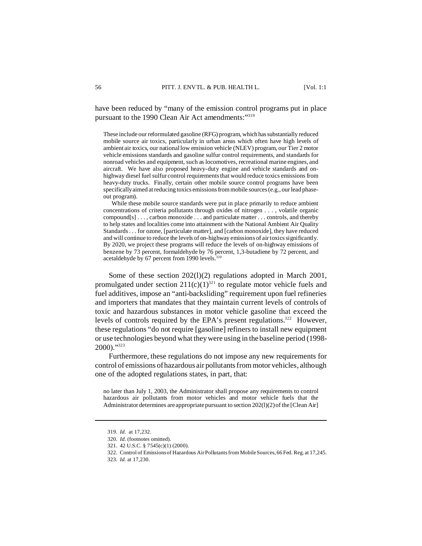have been reduced by "many of the emission control programs put in place pursuant to the 1990 Clean Air Act amendments:"319

These include our reformulated gasoline (RFG) program, which hassubstantially reduced mobile source air toxics, particularly in urban areas which often have high levels of ambient air toxics, our national low emission vehicle (NLEV) program, our Tier 2 motor vehicle emissions standards and gasoline sulfur control requirements, and standards for nonroad vehicles and equipment, such as locomotives, recreational marine engines, and aircraft. We have also proposed heavy-duty engine and vehicle standards and onhighway diesel fuel sulfur control requirements that would reduce toxics emissions from heavy-duty trucks. Finally, certain other mobile source control programs have been specifically aimed at reducing toxics emissions from mobile sources (e.g., our lead phaseout program).

While these mobile source standards were put in place primarily to reduce ambient concentrations of criteria pollutants through oxides of nitrogen . . . , volatile organic compound[s] . . . , carbon monoxide . . . and particulate matter . . . controls, and thereby to help states and localities come into attainment with the National Ambient Air Quality Standards . . . for ozone, [particulate matter], and [carbon monoxide], they have reduced and will continue to reduce the levels of on-highway emissions of air toxics significantly. By 2020, we project these programs will reduce the levels of on-highway emissions of benzene by 73 percent, formaldehyde by 76 percent, 1,3-butadiene by 72 percent, and acetaldehyde by 67 percent from 1990 levels.<sup>3</sup>

Some of these section 202(l)(2) regulations adopted in March 2001, promulgated under section  $211(c)(1)^{321}$  to regulate motor vehicle fuels and fuel additives, impose an "anti-backsliding" requirement upon fuel refineries and importers that mandates that they maintain current levels of controls of toxic and hazardous substances in motor vehicle gasoline that exceed the levels of controls required by the EPA's present regulations.<sup>322</sup> However, these regulations "do not require [gasoline] refiners to install new equipment or use technologies beyond what they were using in the baseline period (1998- 2000)."<sup>323</sup>

Furthermore, these regulations do not impose any new requirements for control of emissions of hazardous air pollutants from motor vehicles, although one of the adopted regulations states, in part, that:

no later than July 1, 2003, the Administrator shall propose any requirements to control hazardous air pollutants from motor vehicles and motor vehicle fuels that the Administrator determines are appropriate pursuant to section 202(l)(2) of the [Clean Air]

<sup>319.</sup> *Id.* at 17,232.

<sup>320.</sup> *Id.* (footnotes omitted).

<sup>321.</sup> 42 U.S.C. § 7545(c)(1) (2000).

<sup>322.</sup> Control of Emissions of Hazardous Air Pollutants from Mobile Sources, 66 Fed. Reg. at 17,245.

<sup>323.</sup> *Id.* at 17,230.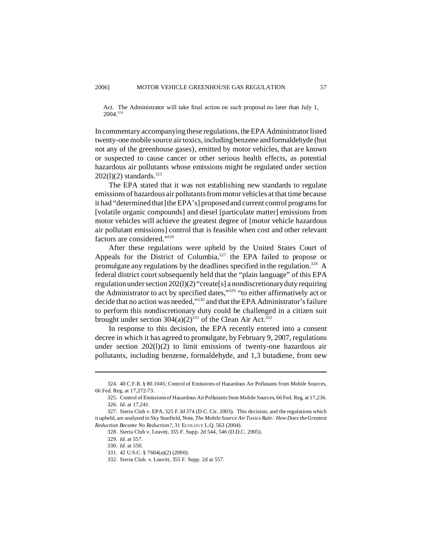Act. The Administrator will take final action on such proposal no later than July 1, 2004.<sup>324</sup>

In commentary accompanying these regulations, the EPA Administrator listed twenty-one mobile source air toxics, including benzene and formaldehyde (but not any of the greenhouse gases), emitted by motor vehicles, that are known or suspected to cause cancer or other serious health effects, as potential hazardous air pollutants whose emissions might be regulated under section  $202(1)(2)$  standards.<sup>325</sup>

The EPA stated that it was not establishing new standards to regulate emissions of hazardous air pollutants from motor vehicles at that time because it had "determined that [the EPA's] proposed and current control programs for [volatile organic compounds] and diesel [particulate matter] emissions from motor vehicles will achieve the greatest degree of [motor vehicle hazardous air pollutant emissions] control that is feasible when cost and other relevant factors are considered."<sup>326</sup>

After these regulations were upheld by the United States Court of Appeals for the District of Columbia,<sup>327</sup> the EPA failed to propose or promulgate any regulations by the deadlines specified in the regulation.<sup>328</sup> A federal district court subsequently held that the "plain language" of this EPA regulation under section 202(l)(2) "create[s] a nondiscretionary duty requiring the Administrator to act by specified dates," <sup>329</sup> "to either affirmatively act or decide that no action was needed,"<sup>330</sup> and that the EPA Administrator's failure to perform this nondiscretionary duty could be challenged in a citizen suit brought under section  $304(a)(2)^{331}$  of the Clean Air Act.<sup>332</sup>

In response to this decision, the EPA recently entered into a consent decree in which it has agreed to promulgate, by February 9, 2007, regulations under section  $202(1)(2)$  to limit emissions of twenty-one hazardous air pollutants, including benzene, formaldehyde, and 1,3 butadiene, from new

<sup>324.</sup> 40 C.F.R. § 80.1045; Control of Emissions of Hazardous Air Pollutants from Mobile Sources, 66 Fed. Reg. at 17,272-73.

<sup>325.</sup> Control of Emissions of Hazardous Air Pollutants from Mobile Sources, 66 Fed. Reg. at 17,236. 326. *Id.* at 17,241.

<sup>327.</sup> Sierra Club v. EPA, 325 F.3d 374 (D.C. Cir. 2003). This decision, and the regulations which it upheld, are analyzed in Sky Stanfield, Note, *The Mobile Source Air Toxics Rule: How Does the Greatest Reduction Become No Reduction?*, 31 ECOLOGY L.Q. 563 (2004).

<sup>328.</sup> Sierra Club v. Leavitt, 355 F. Supp. 2d 544, 546 (D.D.C. 2005).

<sup>329.</sup> *Id.* at 557.

<sup>330.</sup> *Id.* at 550.

<sup>331.</sup> 42 U.S.C. § 7604(a)(2) (2000).

<sup>332.</sup> Sierra Club. v. Leavitt, 355 F. Supp. 2d at 557.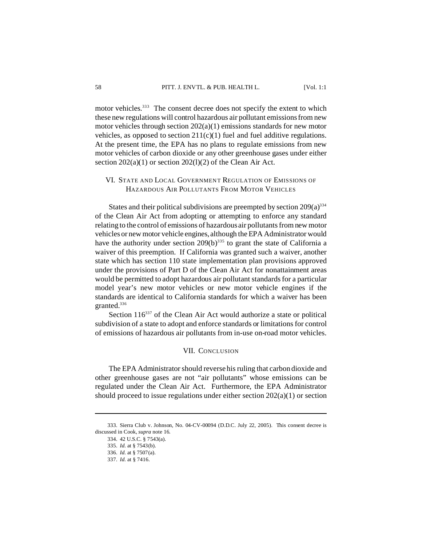motor vehicles.<sup>333</sup> The consent decree does not specify the extent to which these new regulations will control hazardous air pollutant emissions from new motor vehicles through section 202(a)(1) emissions standards for new motor vehicles, as opposed to section  $211(c)(1)$  fuel and fuel additive regulations. At the present time, the EPA has no plans to regulate emissions from new motor vehicles of carbon dioxide or any other greenhouse gases under either section  $202(a)(1)$  or section  $202(1)(2)$  of the Clean Air Act.

## VI. STATE AND LOCAL GOVERNMENT REGULATION OF EMISSIONS OF HAZARDOUS AIR POLLUTANTS FROM MOTOR VEHICLES

States and their political subdivisions are preempted by section  $209(a)^{334}$ of the Clean Air Act from adopting or attempting to enforce any standard relating to the control of emissions of hazardous air pollutants from new motor vehicles or new motor vehicle engines, although the EPA Administrator would have the authority under section  $209(b)^{335}$  to grant the state of California a waiver of this preemption. If California was granted such a waiver, another state which has section 110 state implementation plan provisions approved under the provisions of Part D of the Clean Air Act for nonattainment areas would be permitted to adopt hazardous air pollutant standards for a particular model year's new motor vehicles or new motor vehicle engines if the standards are identical to California standards for which a waiver has been granted.<sup>336</sup>

Section 116<sup>337</sup> of the Clean Air Act would authorize a state or political subdivision of a state to adopt and enforce standards or limitations for control of emissions of hazardous air pollutants from in-use on-road motor vehicles.

#### VII. CONCLUSION

The EPA Administrator should reverse his ruling that carbon dioxide and other greenhouse gases are not "air pollutants" whose emissions can be regulated under the Clean Air Act. Furthermore, the EPA Administrator should proceed to issue regulations under either section  $202(a)(1)$  or section

<sup>333.</sup> Sierra Club v. Johnson, No. 04-CV-00094 (D.D.C. July 22, 2005). This consent decree is discussed in Cook, *supra* note 16.

<sup>334.</sup> 42 U.S.C. § 7543(a).

<sup>335.</sup> *Id.* at § 7543(b).

<sup>336.</sup> *Id.* at § 7507(a).

<sup>337.</sup> *Id.* at § 7416.